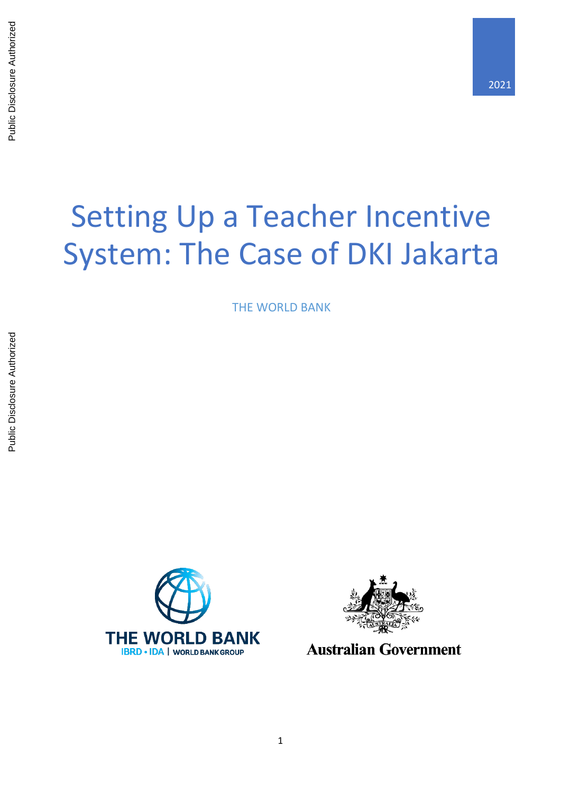# Setting Up a Teacher Incentive System: The Case of DKI Jakarta

THE WORLD BANK





**Australian Government**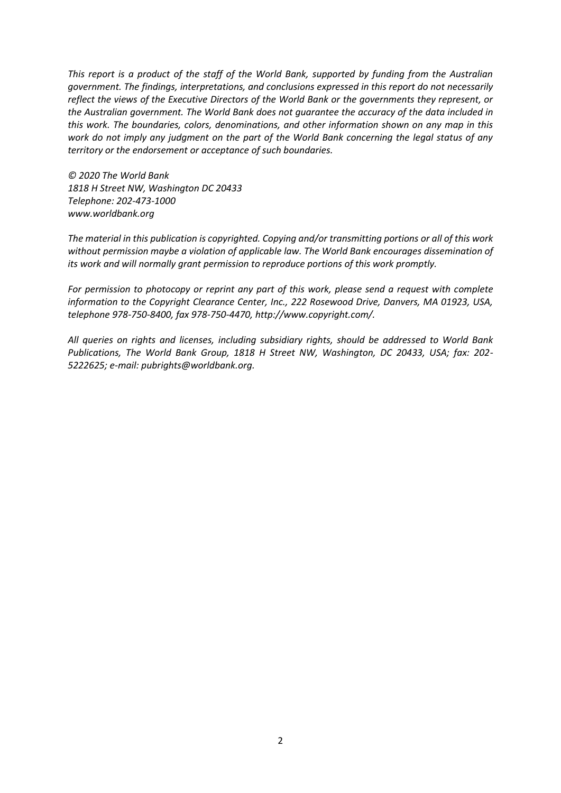*This report is a product of the staff of the World Bank, supported by funding from the Australian government. The findings, interpretations, and conclusions expressed in this report do not necessarily reflect the views of the Executive Directors of the World Bank or the governments they represent, or the Australian government. The World Bank does not guarantee the accuracy of the data included in this work. The boundaries, colors, denominations, and other information shown on any map in this work do not imply any judgment on the part of the World Bank concerning the legal status of any territory or the endorsement or acceptance of such boundaries.*

*© 2020 The World Bank 1818 H Street NW, Washington DC 20433 Telephone: 202-473-1000 www.worldbank.org*

*The material in this publication is copyrighted. Copying and/or transmitting portions or all of this work without permission maybe a violation of applicable law. The World Bank encourages dissemination of its work and will normally grant permission to reproduce portions of this work promptly.* 

*For permission to photocopy or reprint any part of this work, please send a request with complete information to the Copyright Clearance Center, Inc., 222 Rosewood Drive, Danvers, MA 01923, USA, telephone 978-750-8400, fax 978-750-4470, http://www.copyright.com/.*

*All queries on rights and licenses, including subsidiary rights, should be addressed to World Bank Publications, The World Bank Group, 1818 H Street NW, Washington, DC 20433, USA; fax: 202- 5222625; e-mail: pubrights@worldbank.org.*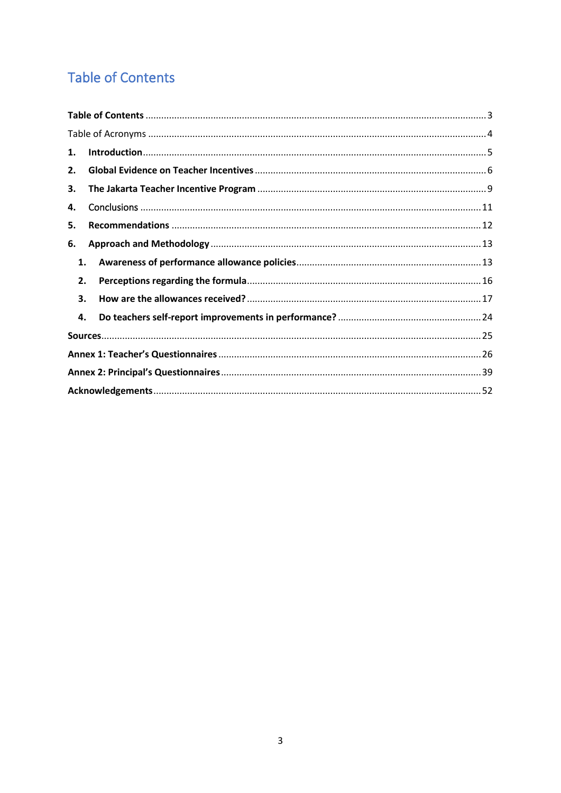## <span id="page-2-0"></span>**Table of Contents**

| 1. |  |
|----|--|
| 2. |  |
| 3. |  |
| 4. |  |
| 5. |  |
| 6. |  |
| 1. |  |
| 2. |  |
| 3. |  |
| 4. |  |
|    |  |
|    |  |
|    |  |
|    |  |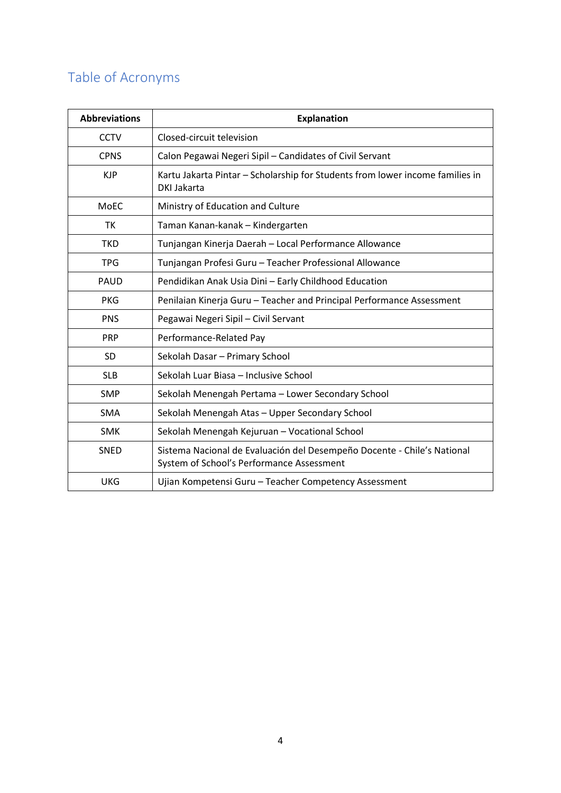## <span id="page-3-0"></span>Table of Acronyms

| <b>Abbreviations</b> | <b>Explanation</b>                                                                                                   |
|----------------------|----------------------------------------------------------------------------------------------------------------------|
| <b>CCTV</b>          | Closed-circuit television                                                                                            |
| <b>CPNS</b>          | Calon Pegawai Negeri Sipil - Candidates of Civil Servant                                                             |
| <b>KJP</b>           | Kartu Jakarta Pintar - Scholarship for Students from lower income families in<br>DKI Jakarta                         |
| MoEC                 | Ministry of Education and Culture                                                                                    |
| <b>TK</b>            | Taman Kanan-kanak - Kindergarten                                                                                     |
| <b>TKD</b>           | Tunjangan Kinerja Daerah - Local Performance Allowance                                                               |
| <b>TPG</b>           | Tunjangan Profesi Guru - Teacher Professional Allowance                                                              |
| <b>PAUD</b>          | Pendidikan Anak Usia Dini - Early Childhood Education                                                                |
| <b>PKG</b>           | Penilaian Kinerja Guru - Teacher and Principal Performance Assessment                                                |
| <b>PNS</b>           | Pegawai Negeri Sipil - Civil Servant                                                                                 |
| <b>PRP</b>           | Performance-Related Pay                                                                                              |
| SD                   | Sekolah Dasar - Primary School                                                                                       |
| <b>SLB</b>           | Sekolah Luar Biasa - Inclusive School                                                                                |
| <b>SMP</b>           | Sekolah Menengah Pertama - Lower Secondary School                                                                    |
| <b>SMA</b>           | Sekolah Menengah Atas - Upper Secondary School                                                                       |
| <b>SMK</b>           | Sekolah Menengah Kejuruan - Vocational School                                                                        |
| SNED                 | Sistema Nacional de Evaluación del Desempeño Docente - Chile's National<br>System of School's Performance Assessment |
| <b>UKG</b>           | Ujian Kompetensi Guru - Teacher Competency Assessment                                                                |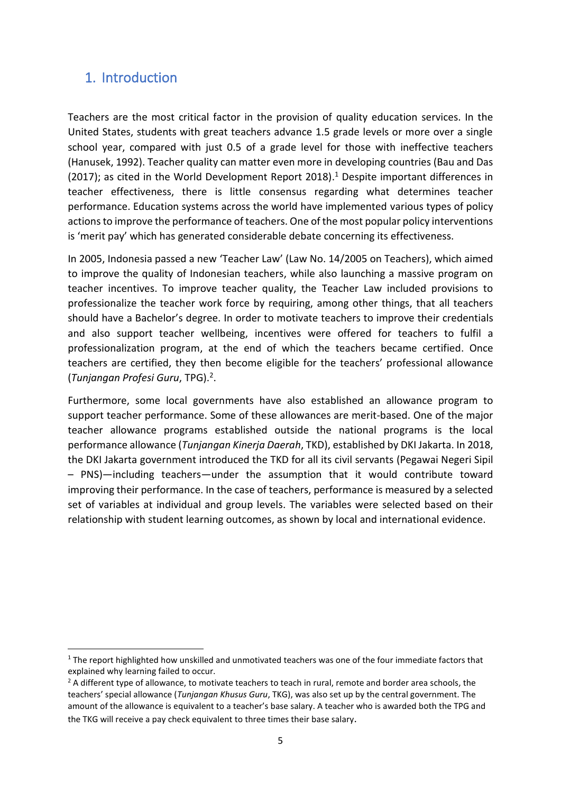## <span id="page-4-0"></span>1. Introduction

Teachers are the most critical factor in the provision of quality education services. In the United States, students with great teachers advance 1.5 grade levels or more over a single school year, compared with just 0.5 of a grade level for those with ineffective teachers (Hanusek, 1992). Teacher quality can matter even more in developing countries (Bau and Das (2017); as cited in the World Development Report 2018). <sup>1</sup> Despite important differences in teacher effectiveness, there is little consensus regarding what determines teacher performance. Education systems across the world have implemented various types of policy actions to improve the performance of teachers. One of the most popular policy interventions is 'merit pay' which has generated considerable debate concerning its effectiveness.

In 2005, Indonesia passed a new 'Teacher Law' (Law No. 14/2005 on Teachers), which aimed to improve the quality of Indonesian teachers, while also launching a massive program on teacher incentives. To improve teacher quality, the Teacher Law included provisions to professionalize the teacher work force by requiring, among other things, that all teachers should have a Bachelor's degree. In order to motivate teachers to improve their credentials and also support teacher wellbeing, incentives were offered for teachers to fulfil a professionalization program, at the end of which the teachers became certified. Once teachers are certified, they then become eligible for the teachers' professional allowance (*Tunjangan Profesi Guru*, TPG).<sup>2</sup> .

Furthermore, some local governments have also established an allowance program to support teacher performance. Some of these allowances are merit-based. One of the major teacher allowance programs established outside the national programs is the local performance allowance (*Tunjangan Kinerja Daerah*, TKD), established by DKI Jakarta. In 2018, the DKI Jakarta government introduced the TKD for all its civil servants (Pegawai Negeri Sipil – PNS)—including teachers—under the assumption that it would contribute toward improving their performance. In the case of teachers, performance is measured by a selected set of variables at individual and group levels. The variables were selected based on their relationship with student learning outcomes, as shown by local and international evidence.

<sup>&</sup>lt;sup>1</sup> The report highlighted how unskilled and unmotivated teachers was one of the four immediate factors that explained why learning failed to occur.

 $2$  A different type of allowance, to motivate teachers to teach in rural, remote and border area schools, the teachers' special allowance (*Tunjangan Khusus Guru*, TKG), was also set up by the central government. The amount of the allowance is equivalent to a teacher's base salary. A teacher who is awarded both the TPG and the TKG will receive a pay check equivalent to three times their base salary.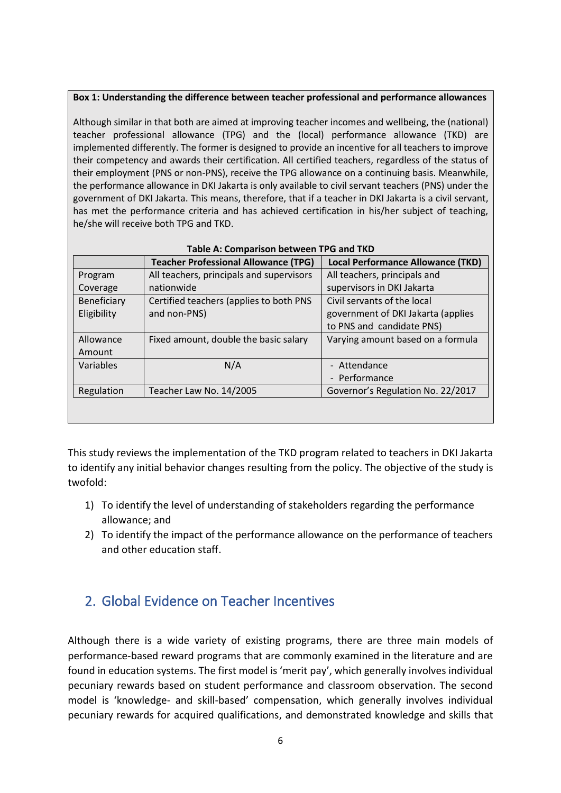#### **Box 1: Understanding the difference between teacher professional and performance allowances**

Although similar in that both are aimed at improving teacher incomes and wellbeing, the (national) teacher professional allowance (TPG) and the (local) performance allowance (TKD) are implemented differently. The former is designed to provide an incentive for all teachers to improve their competency and awards their certification. All certified teachers, regardless of the status of their employment (PNS or non-PNS), receive the TPG allowance on a continuing basis. Meanwhile, the performance allowance in DKI Jakarta is only available to civil servant teachers (PNS) under the government of DKI Jakarta. This means, therefore, that if a teacher in DKI Jakarta is a civil servant, has met the performance criteria and has achieved certification in his/her subject of teaching, he/she will receive both TPG and TKD.

| Table A. Comparison between TPG and TRD<br><b>Teacher Professional Allowance (TPG)</b><br><b>Local Performance Allowance (TKD)</b> |                                          |                                    |  |  |  |  |
|------------------------------------------------------------------------------------------------------------------------------------|------------------------------------------|------------------------------------|--|--|--|--|
| Program                                                                                                                            | All teachers, principals and supervisors | All teachers, principals and       |  |  |  |  |
| Coverage                                                                                                                           | nationwide                               | supervisors in DKI Jakarta         |  |  |  |  |
| Beneficiary                                                                                                                        | Certified teachers (applies to both PNS  | Civil servants of the local        |  |  |  |  |
| Eligibility                                                                                                                        | and non-PNS)                             | government of DKI Jakarta (applies |  |  |  |  |
|                                                                                                                                    |                                          | to PNS and candidate PNS)          |  |  |  |  |
| Allowance                                                                                                                          | Fixed amount, double the basic salary    | Varying amount based on a formula  |  |  |  |  |
| Amount                                                                                                                             |                                          |                                    |  |  |  |  |
| Variables                                                                                                                          | N/A                                      | - Attendance                       |  |  |  |  |
|                                                                                                                                    |                                          | - Performance                      |  |  |  |  |
| Regulation                                                                                                                         | Teacher Law No. 14/2005                  | Governor's Regulation No. 22/2017  |  |  |  |  |
|                                                                                                                                    |                                          |                                    |  |  |  |  |

#### **Table A: Comparison between TPG and TKD**

This study reviews the implementation of the TKD program related to teachers in DKI Jakarta to identify any initial behavior changes resulting from the policy. The objective of the study is twofold:

- 1) To identify the level of understanding of stakeholders regarding the performance allowance; and
- 2) To identify the impact of the performance allowance on the performance of teachers and other education staff.

## <span id="page-5-0"></span>2. Global Evidence on Teacher Incentives

Although there is a wide variety of existing programs, there are three main models of performance-based reward programs that are commonly examined in the literature and are found in education systems. The first model is 'merit pay', which generally involves individual pecuniary rewards based on student performance and classroom observation. The second model is 'knowledge- and skill-based' compensation, which generally involves individual pecuniary rewards for acquired qualifications, and demonstrated knowledge and skills that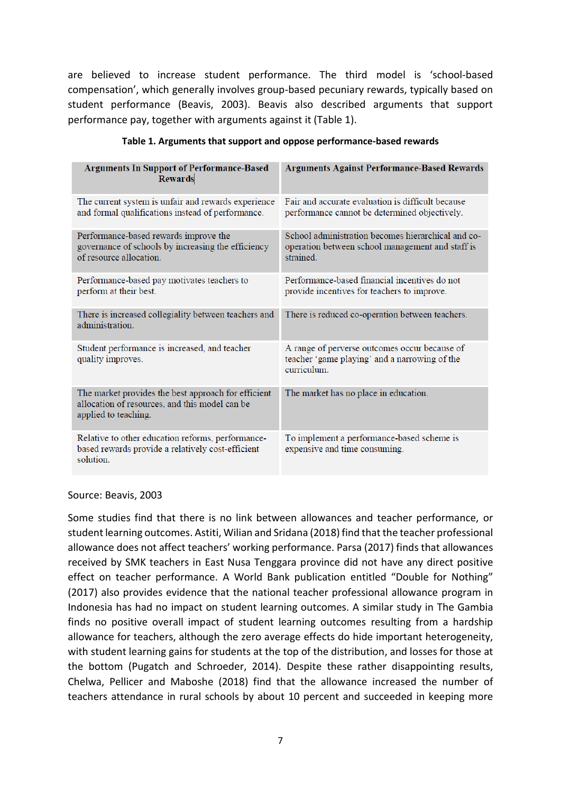are believed to increase student performance. The third model is 'school-based compensation', which generally involves group-based pecuniary rewards, typically based on student performance (Beavis, 2003). Beavis also described arguments that support performance pay, together with arguments against it (Table 1).

| <b>Arguments In Support of Performance-Based</b><br><b>Rewards</b>                                                            | <b>Arguments Against Performance-Based Rewards</b>                                                                  |
|-------------------------------------------------------------------------------------------------------------------------------|---------------------------------------------------------------------------------------------------------------------|
| The current system is unfair and rewards experience<br>and formal qualifications instead of performance.                      | Fair and accurate evaluation is difficult because<br>performance cannot be determined objectively.                  |
| Performance-based rewards improve the<br>governance of schools by increasing the efficiency<br>of resource allocation.        | School administration becomes hierarchical and co-<br>operation between school management and staff is<br>strained. |
| Performance-based pay motivates teachers to<br>perform at their best.                                                         | Performance-based financial incentives do not<br>provide incentives for teachers to improve.                        |
| There is increased collegiality between teachers and<br>administration.                                                       | There is reduced co-operation between teachers.                                                                     |
| Student performance is increased, and teacher<br>quality improves.                                                            | A range of perverse outcomes occur because of<br>teacher 'game playing' and a narrowing of the<br>curriculum.       |
| The market provides the best approach for efficient<br>allocation of resources, and this model can be<br>applied to teaching. | The market has no place in education.                                                                               |
| Relative to other education reforms, performance-<br>based rewards provide a relatively cost-efficient<br>solution.           | To implement a performance-based scheme is<br>expensive and time consuming.                                         |

#### **Table 1. Arguments that support and oppose performance-based rewards**

#### Source: Beavis, 2003

Some studies find that there is no link between allowances and teacher performance, or student learning outcomes. Astiti, Wilian and Sridana (2018) find that the teacher professional allowance does not affect teachers' working performance. Parsa (2017) finds that allowances received by SMK teachers in East Nusa Tenggara province did not have any direct positive effect on teacher performance. A World Bank publication entitled "Double for Nothing" (2017) also provides evidence that the national teacher professional allowance program in Indonesia has had no impact on student learning outcomes. A similar study in The Gambia finds no positive overall impact of student learning outcomes resulting from a hardship allowance for teachers, although the zero average effects do hide important heterogeneity, with student learning gains for students at the top of the distribution, and losses for those at the bottom (Pugatch and Schroeder, 2014). Despite these rather disappointing results, Chelwa, Pellicer and Maboshe (2018) find that the allowance increased the number of teachers attendance in rural schools by about 10 percent and succeeded in keeping more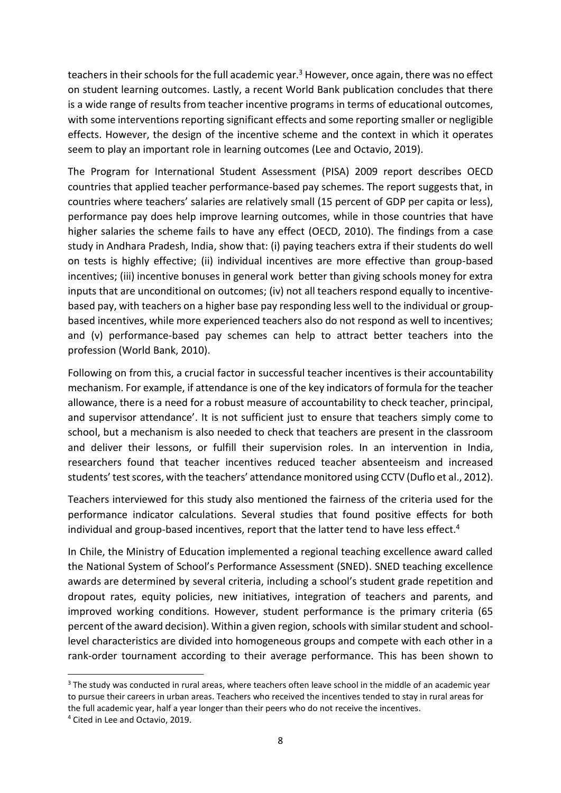teachers in their schools for the full academic year. <sup>3</sup> However, once again, there was no effect on student learning outcomes. Lastly, a recent World Bank publication concludes that there is a wide range of results from teacher incentive programs in terms of educational outcomes, with some interventions reporting significant effects and some reporting smaller or negligible effects. However, the design of the incentive scheme and the context in which it operates seem to play an important role in learning outcomes (Lee and Octavio, 2019).

The Program for International Student Assessment (PISA) 2009 report describes OECD countries that applied teacher performance-based pay schemes. The report suggests that, in countries where teachers' salaries are relatively small (15 percent of GDP per capita or less), performance pay does help improve learning outcomes, while in those countries that have higher salaries the scheme fails to have any effect (OECD, 2010). The findings from a case study in Andhara Pradesh, India, show that: (i) paying teachers extra if their students do well on tests is highly effective; (ii) individual incentives are more effective than group-based incentives; (iii) incentive bonuses in general work better than giving schools money for extra inputs that are unconditional on outcomes; (iv) not all teachers respond equally to incentivebased pay, with teachers on a higher base pay responding less well to the individual or groupbased incentives, while more experienced teachers also do not respond as well to incentives; and (v) performance-based pay schemes can help to attract better teachers into the profession (World Bank, 2010).

Following on from this, a crucial factor in successful teacher incentives is their accountability mechanism. For example, if attendance is one of the key indicators of formula for the teacher allowance, there is a need for a robust measure of accountability to check teacher, principal, and supervisor attendance'. It is not sufficient just to ensure that teachers simply come to school, but a mechanism is also needed to check that teachers are present in the classroom and deliver their lessons, or fulfill their supervision roles. In an intervention in India, researchers found that teacher incentives reduced teacher absenteeism and increased students' test scores, with the teachers' attendance monitored using CCTV (Duflo et al., 2012).

Teachers interviewed for this study also mentioned the fairness of the criteria used for the performance indicator calculations. Several studies that found positive effects for both individual and group-based incentives, report that the latter tend to have less effect.<sup>4</sup>

In Chile, the Ministry of Education implemented a regional teaching excellence award called the National System of School's Performance Assessment (SNED). SNED teaching excellence awards are determined by several criteria, including a school's student grade repetition and dropout rates, equity policies, new initiatives, integration of teachers and parents, and improved working conditions. However, student performance is the primary criteria (65 percent of the award decision). Within a given region, schools with similar student and schoollevel characteristics are divided into homogeneous groups and compete with each other in a rank-order tournament according to their average performance. This has been shown to

<sup>&</sup>lt;sup>3</sup> The study was conducted in rural areas, where teachers often leave school in the middle of an academic year to pursue their careers in urban areas. Teachers who received the incentives tended to stay in rural areas for the full academic year, half a year longer than their peers who do not receive the incentives.

<sup>4</sup> Cited in Lee and Octavio, 2019.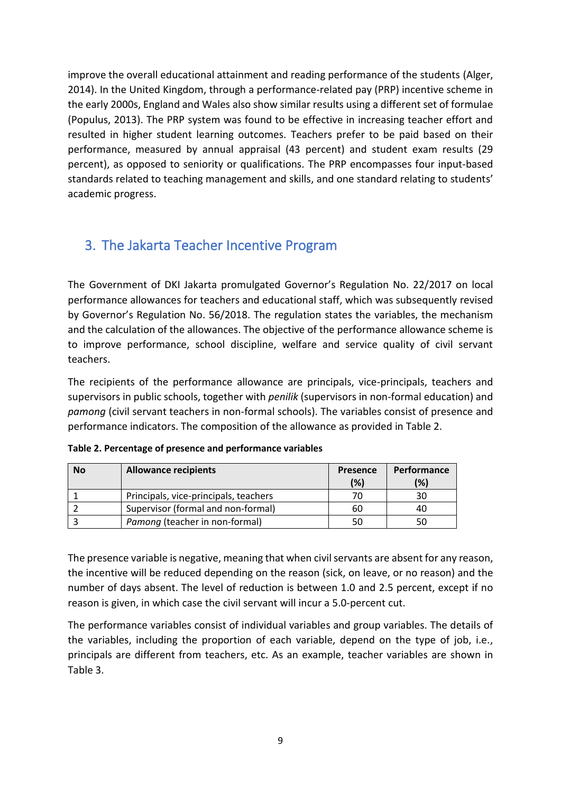improve the overall educational attainment and reading performance of the students (Alger, 2014). In the United Kingdom, through a performance-related pay (PRP) incentive scheme in the early 2000s, England and Wales also show similar results using a different set of formulae (Populus, 2013). The PRP system was found to be effective in increasing teacher effort and resulted in higher student learning outcomes. Teachers prefer to be paid based on their performance, measured by annual appraisal (43 percent) and student exam results (29 percent), as opposed to seniority or qualifications. The PRP encompasses four input-based standards related to teaching management and skills, and one standard relating to students' academic progress.

## <span id="page-8-0"></span>3. The Jakarta Teacher Incentive Program

The Government of DKI Jakarta promulgated Governor's Regulation No. 22/2017 on local performance allowances for teachers and educational staff, which was subsequently revised by Governor's Regulation No. 56/2018. The regulation states the variables, the mechanism and the calculation of the allowances. The objective of the performance allowance scheme is to improve performance, school discipline, welfare and service quality of civil servant teachers.

The recipients of the performance allowance are principals, vice-principals, teachers and supervisors in public schools, together with *penilik* (supervisors in non-formal education) and *pamong* (civil servant teachers in non-formal schools). The variables consist of presence and performance indicators. The composition of the allowance as provided in Table 2.

| <b>No</b> | <b>Allowance recipients</b>           | <b>Presence</b><br>(%) | Performance<br>(%) |
|-----------|---------------------------------------|------------------------|--------------------|
|           | Principals, vice-principals, teachers | 70                     | 30                 |
|           | Supervisor (formal and non-formal)    | 60                     | 40                 |
|           | Pamong (teacher in non-formal)        | 50                     | 50                 |

**Table 2. Percentage of presence and performance variables**

The presence variable is negative, meaning that when civil servants are absent for any reason, the incentive will be reduced depending on the reason (sick, on leave, or no reason) and the number of days absent. The level of reduction is between 1.0 and 2.5 percent, except if no reason is given, in which case the civil servant will incur a 5.0-percent cut.

The performance variables consist of individual variables and group variables. The details of the variables, including the proportion of each variable, depend on the type of job, i.e., principals are different from teachers, etc. As an example, teacher variables are shown in Table 3.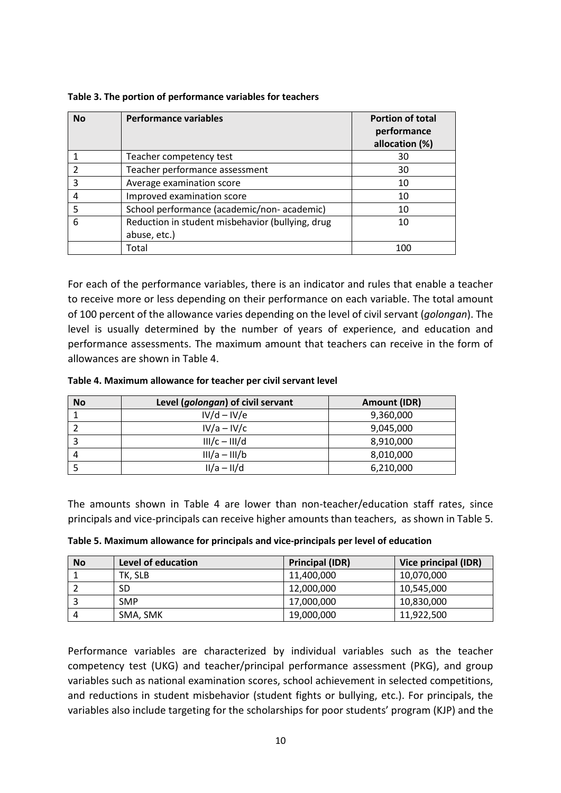| <b>No</b> | <b>Performance variables</b>                     | <b>Portion of total</b><br>performance<br>allocation (%) |
|-----------|--------------------------------------------------|----------------------------------------------------------|
|           | Teacher competency test                          | 30                                                       |
|           | Teacher performance assessment                   | 30                                                       |
| ς         | Average examination score                        | 10                                                       |
| 4         | Improved examination score                       | 10                                                       |
| 5         | School performance (academic/non-academic)       | 10                                                       |
| 6         | Reduction in student misbehavior (bullying, drug | 10                                                       |
|           | abuse, etc.)                                     |                                                          |
|           | Total                                            | 100                                                      |

**Table 3. The portion of performance variables for teachers** 

For each of the performance variables, there is an indicator and rules that enable a teacher to receive more or less depending on their performance on each variable. The total amount of 100 percent of the allowance varies depending on the level of civil servant (*golongan*). The level is usually determined by the number of years of experience, and education and performance assessments. The maximum amount that teachers can receive in the form of allowances are shown in Table 4.

**Table 4. Maximum allowance for teacher per civil servant level**

| <b>No</b> | Level (golongan) of civil servant | Amount (IDR) |
|-----------|-----------------------------------|--------------|
|           | $IV/d - IV/e$                     | 9,360,000    |
|           | $IV/a - IV/c$                     | 9,045,000    |
|           | $III/c - III/d$                   | 8,910,000    |
| 4         | $III/a - III/b$                   | 8,010,000    |
|           | $II/a - II/d$                     | 6,210,000    |

The amounts shown in Table 4 are lower than non-teacher/education staff rates, since principals and vice-principals can receive higher amounts than teachers, as shown in Table 5.

| Table 5. Maximum allowance for principals and vice-principals per level of education |  |  |  |
|--------------------------------------------------------------------------------------|--|--|--|
|--------------------------------------------------------------------------------------|--|--|--|

| <b>No</b> | Level of education | Principal (IDR) | Vice principal (IDR) |
|-----------|--------------------|-----------------|----------------------|
|           | TK. SLB            | 11,400,000      | 10,070,000           |
|           | SD                 | 12,000,000      | 10,545,000           |
|           | <b>SMP</b>         | 17,000,000      | 10,830,000           |
|           | SMA. SMK           | 19,000,000      | 11,922,500           |

Performance variables are characterized by individual variables such as the teacher competency test (UKG) and teacher/principal performance assessment (PKG), and group variables such as national examination scores, school achievement in selected competitions, and reductions in student misbehavior (student fights or bullying, etc.). For principals, the variables also include targeting for the scholarships for poor students' program (KJP) and the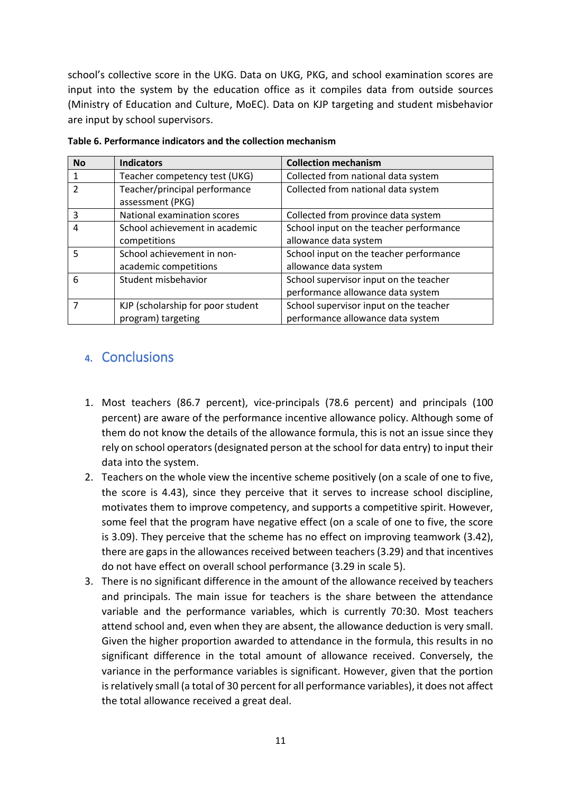school's collective score in the UKG. Data on UKG, PKG, and school examination scores are input into the system by the education office as it compiles data from outside sources (Ministry of Education and Culture, MoEC). Data on KJP targeting and student misbehavior are input by school supervisors.

| <b>No</b> | <b>Indicators</b>                                 | <b>Collection mechanism</b>             |
|-----------|---------------------------------------------------|-----------------------------------------|
|           | Teacher competency test (UKG)                     | Collected from national data system     |
|           | Teacher/principal performance<br>assessment (PKG) | Collected from national data system     |
| 3         | National examination scores                       | Collected from province data system     |
| 4         | School achievement in academic                    | School input on the teacher performance |
|           | competitions                                      | allowance data system                   |
| 5         | School achievement in non-                        | School input on the teacher performance |
|           | academic competitions                             | allowance data system                   |
| 6         | Student misbehavior                               | School supervisor input on the teacher  |
|           |                                                   | performance allowance data system       |
|           | KJP (scholarship for poor student                 | School supervisor input on the teacher  |
|           | program) targeting                                | performance allowance data system       |

**Table 6. Performance indicators and the collection mechanism**

## <span id="page-10-0"></span>**4.** Conclusions

- 1. Most teachers (86.7 percent), vice-principals (78.6 percent) and principals (100 percent) are aware of the performance incentive allowance policy. Although some of them do not know the details of the allowance formula, this is not an issue since they rely on school operators (designated person at the school for data entry) to input their data into the system.
- 2. Teachers on the whole view the incentive scheme positively (on a scale of one to five, the score is 4.43), since they perceive that it serves to increase school discipline, motivates them to improve competency, and supports a competitive spirit. However, some feel that the program have negative effect (on a scale of one to five, the score is 3.09). They perceive that the scheme has no effect on improving teamwork (3.42), there are gapsin the allowances received between teachers (3.29) and that incentives do not have effect on overall school performance (3.29 in scale 5).
- 3. There is no significant difference in the amount of the allowance received by teachers and principals. The main issue for teachers is the share between the attendance variable and the performance variables, which is currently 70:30. Most teachers attend school and, even when they are absent, the allowance deduction is very small. Given the higher proportion awarded to attendance in the formula, this results in no significant difference in the total amount of allowance received. Conversely, the variance in the performance variables is significant. However, given that the portion is relatively small (a total of 30 percent for all performance variables), it does not affect the total allowance received a great deal.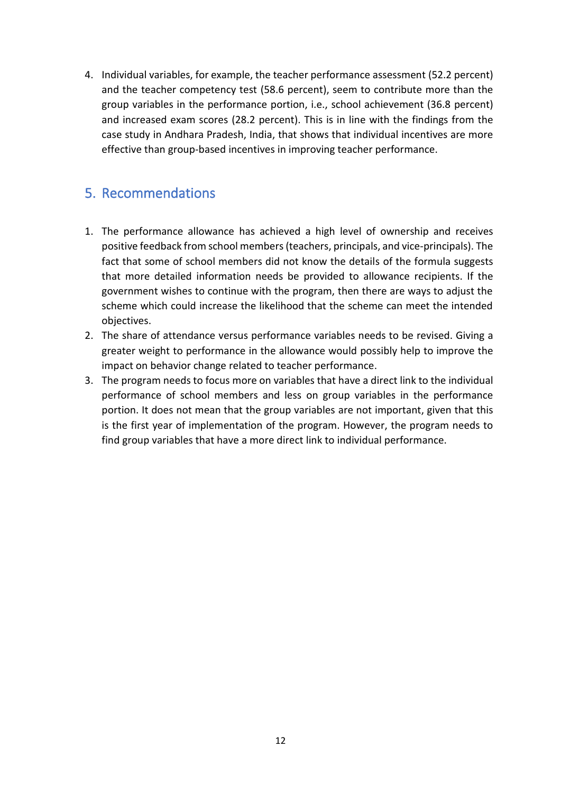4. Individual variables, for example, the teacher performance assessment (52.2 percent) and the teacher competency test (58.6 percent), seem to contribute more than the group variables in the performance portion, i.e., school achievement (36.8 percent) and increased exam scores (28.2 percent). This is in line with the findings from the case study in Andhara Pradesh, India, that shows that individual incentives are more effective than group-based incentives in improving teacher performance.

## <span id="page-11-0"></span>5. Recommendations

- 1. The performance allowance has achieved a high level of ownership and receives positive feedback from school members(teachers, principals, and vice-principals). The fact that some of school members did not know the details of the formula suggests that more detailed information needs be provided to allowance recipients. If the government wishes to continue with the program, then there are ways to adjust the scheme which could increase the likelihood that the scheme can meet the intended objectives.
- 2. The share of attendance versus performance variables needs to be revised. Giving a greater weight to performance in the allowance would possibly help to improve the impact on behavior change related to teacher performance.
- 3. The program needs to focus more on variables that have a direct link to the individual performance of school members and less on group variables in the performance portion. It does not mean that the group variables are not important, given that this is the first year of implementation of the program. However, the program needs to find group variables that have a more direct link to individual performance.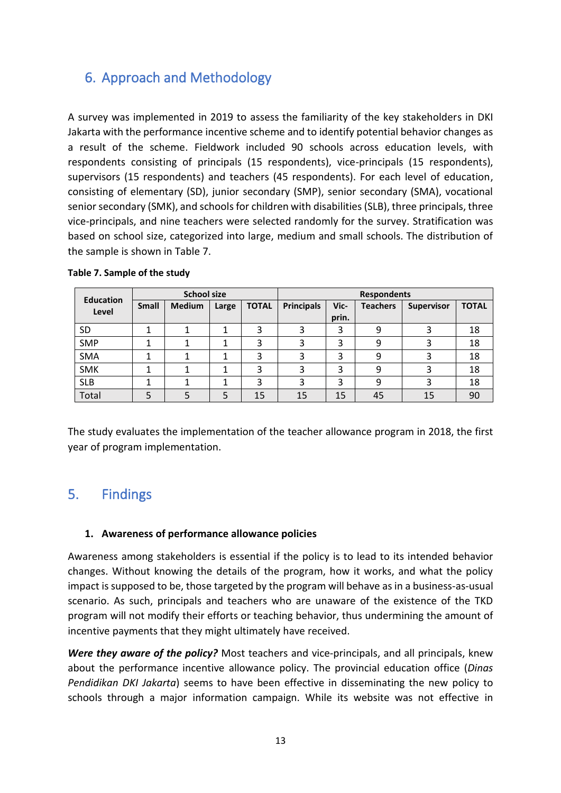## <span id="page-12-0"></span>6. Approach and Methodology

A survey was implemented in 2019 to assess the familiarity of the key stakeholders in DKI Jakarta with the performance incentive scheme and to identify potential behavior changes as a result of the scheme. Fieldwork included 90 schools across education levels, with respondents consisting of principals (15 respondents), vice-principals (15 respondents), supervisors (15 respondents) and teachers (45 respondents). For each level of education, consisting of elementary (SD), junior secondary (SMP), senior secondary (SMA), vocational senior secondary (SMK), and schools for children with disabilities (SLB), three principals, three vice-principals, and nine teachers were selected randomly for the survey. Stratification was based on school size, categorized into large, medium and small schools. The distribution of the sample is shown in Table 7.

|                           |              | <b>School size</b> |       |              |                   | <b>Respondents</b> |          |                   |              |
|---------------------------|--------------|--------------------|-------|--------------|-------------------|--------------------|----------|-------------------|--------------|
| <b>Education</b><br>Level | <b>Small</b> | <b>Medium</b>      | Large | <b>TOTAL</b> | <b>Principals</b> | Vic-<br>prin.      | Teachers | <b>Supervisor</b> | <b>TOTAL</b> |
| <b>SD</b>                 |              |                    |       | 3            |                   | 3                  | 9        |                   | 18           |
| <b>SMP</b>                |              |                    |       | 3            | 3                 | 3                  | 9        |                   | 18           |
| <b>SMA</b>                |              |                    |       | 3            | 3                 | 3                  | 9        |                   | 18           |
| <b>SMK</b>                |              |                    |       | 3            | 3                 | 3                  | 9        |                   | 18           |
| <b>SLB</b>                |              |                    |       | 3            | 3                 | 3                  | 9        |                   | 18           |
| Total                     |              |                    |       | 15           | 15                | 15                 | 45       | 15                | 90           |

#### **Table 7. Sample of the study**

The study evaluates the implementation of the teacher allowance program in 2018, the first year of program implementation.

## 5. Findings

#### <span id="page-12-1"></span>**1. Awareness of performance allowance policies**

Awareness among stakeholders is essential if the policy is to lead to its intended behavior changes. Without knowing the details of the program, how it works, and what the policy impact is supposed to be, those targeted by the program will behave as in a business-as-usual scenario. As such, principals and teachers who are unaware of the existence of the TKD program will not modify their efforts or teaching behavior, thus undermining the amount of incentive payments that they might ultimately have received.

*Were they aware of the policy?* Most teachers and vice-principals, and all principals, knew about the performance incentive allowance policy. The provincial education office (*Dinas Pendidikan DKI Jakarta*) seems to have been effective in disseminating the new policy to schools through a major information campaign. While its website was not effective in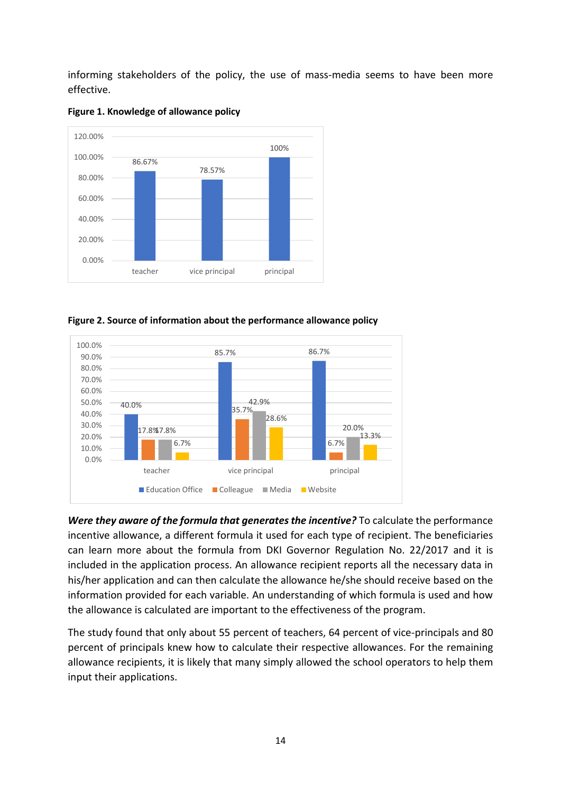informing stakeholders of the policy, the use of mass-media seems to have been more effective.



**Figure 1. Knowledge of allowance policy**





*Were they aware of the formula that generates the incentive?* To calculate the performance incentive allowance, a different formula it used for each type of recipient. The beneficiaries can learn more about the formula from DKI Governor Regulation No. 22/2017 and it is included in the application process. An allowance recipient reports all the necessary data in his/her application and can then calculate the allowance he/she should receive based on the information provided for each variable. An understanding of which formula is used and how the allowance is calculated are important to the effectiveness of the program.

The study found that only about 55 percent of teachers, 64 percent of vice-principals and 80 percent of principals knew how to calculate their respective allowances. For the remaining allowance recipients, it is likely that many simply allowed the school operators to help them input their applications.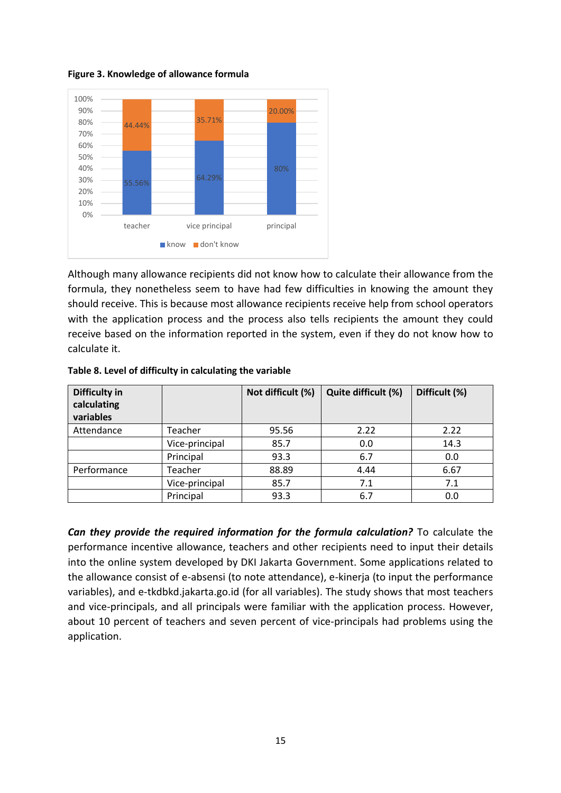**Figure 3. Knowledge of allowance formula**



Although many allowance recipients did not know how to calculate their allowance from the formula, they nonetheless seem to have had few difficulties in knowing the amount they should receive. This is because most allowance recipients receive help from school operators with the application process and the process also tells recipients the amount they could receive based on the information reported in the system, even if they do not know how to calculate it.

| <b>Difficulty in</b><br>calculating<br>variables |                | Not difficult (%) | Quite difficult (%) | Difficult (%) |
|--------------------------------------------------|----------------|-------------------|---------------------|---------------|
| Attendance                                       | Teacher        | 95.56             | 2.22                | 2.22          |
|                                                  | Vice-principal | 85.7              | 0.0                 | 14.3          |
|                                                  | Principal      | 93.3              | 6.7                 | 0.0           |
| Performance                                      | Teacher        | 88.89             | 4.44                | 6.67          |
|                                                  | Vice-principal | 85.7              | 7.1                 | 7.1           |
|                                                  | Principal      | 93.3              | 6.7                 | 0.0           |

#### **Table 8. Level of difficulty in calculating the variable**

*Can they provide the required information for the formula calculation?* To calculate the performance incentive allowance, teachers and other recipients need to input their details into the online system developed by DKI Jakarta Government. Some applications related to the allowance consist of e-absensi (to note attendance), e-kinerja (to input the performance variables), and e-tkdbkd.jakarta.go.id (for all variables). The study shows that most teachers and vice-principals, and all principals were familiar with the application process. However, about 10 percent of teachers and seven percent of vice-principals had problems using the application.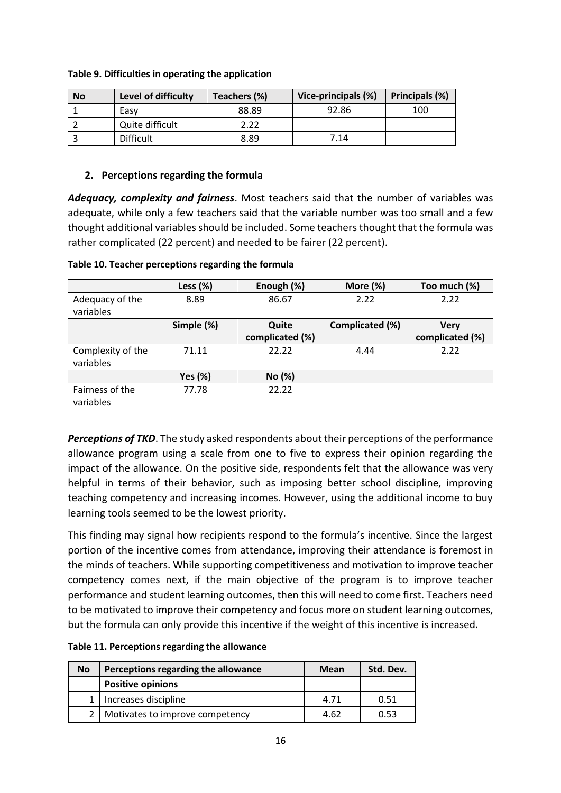| <b>No</b> | Level of difficulty | Teachers (%) | Vice-principals (%) | Principals (%) |
|-----------|---------------------|--------------|---------------------|----------------|
|           | Easy                | 88.89        | 92.86               | 100            |
|           | Quite difficult     | 2.22         |                     |                |
|           | <b>Difficult</b>    | 8.89         | 7.14                |                |

#### **Table 9. Difficulties in operating the application**

#### <span id="page-15-0"></span>**2. Perceptions regarding the formula**

*Adequacy, complexity and fairness*. Most teachers said that the number of variables was adequate, while only a few teachers said that the variable number was too small and a few thought additional variables should be included. Some teachersthought that the formula was rather complicated (22 percent) and needed to be fairer (22 percent).

|                   | Less $(\%)$    | Enough (%)      | More (%)        | Too much (%)    |
|-------------------|----------------|-----------------|-----------------|-----------------|
| Adequacy of the   | 8.89           | 86.67           | 2.22            | 2.22            |
| variables         |                |                 |                 |                 |
|                   | Simple (%)     | Quite           | Complicated (%) | <b>Very</b>     |
|                   |                | complicated (%) |                 | complicated (%) |
| Complexity of the | 71.11          | 22.22           | 4.44            | 2.22            |
| variables         |                |                 |                 |                 |
|                   | <b>Yes (%)</b> | No (%)          |                 |                 |
| Fairness of the   | 77.78          | 22.22           |                 |                 |
| variables         |                |                 |                 |                 |

**Table 10. Teacher perceptions regarding the formula**

*Perceptions of TKD*. The study asked respondents about their perceptions of the performance allowance program using a scale from one to five to express their opinion regarding the impact of the allowance. On the positive side, respondents felt that the allowance was very helpful in terms of their behavior, such as imposing better school discipline, improving teaching competency and increasing incomes. However, using the additional income to buy learning tools seemed to be the lowest priority.

This finding may signal how recipients respond to the formula's incentive. Since the largest portion of the incentive comes from attendance, improving their attendance is foremost in the minds of teachers. While supporting competitiveness and motivation to improve teacher competency comes next, if the main objective of the program is to improve teacher performance and student learning outcomes, then this will need to come first. Teachers need to be motivated to improve their competency and focus more on student learning outcomes, but the formula can only provide this incentive if the weight of this incentive is increased.

**Table 11. Perceptions regarding the allowance**

| <b>No</b> | Perceptions regarding the allowance | <b>Mean</b> | Std. Dev. |
|-----------|-------------------------------------|-------------|-----------|
|           | <b>Positive opinions</b>            |             |           |
|           | 1   Increases discipline            | 4.71        | 0.51      |
|           | 2   Motivates to improve competency | 4.62        | 0.53      |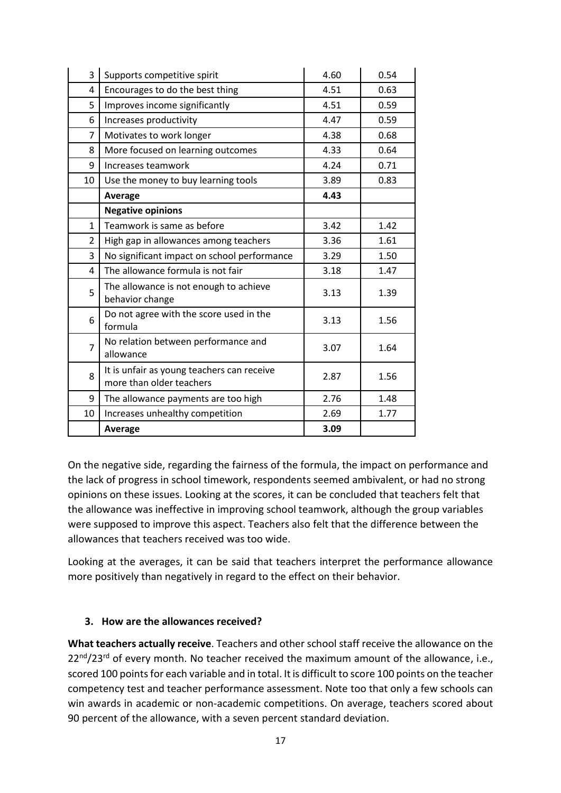| 3              | Supports competitive spirit                                            | 4.60 | 0.54 |
|----------------|------------------------------------------------------------------------|------|------|
| 4              | Encourages to do the best thing                                        | 4.51 | 0.63 |
| 5              | Improves income significantly                                          | 4.51 | 0.59 |
| 6              | Increases productivity                                                 | 4.47 | 0.59 |
| $\overline{7}$ | Motivates to work longer                                               | 4.38 | 0.68 |
| 8              | More focused on learning outcomes                                      | 4.33 | 0.64 |
| 9              | Increases teamwork                                                     | 4.24 | 0.71 |
| 10             | Use the money to buy learning tools                                    | 3.89 | 0.83 |
|                | Average                                                                | 4.43 |      |
|                | <b>Negative opinions</b>                                               |      |      |
| $\mathbf{1}$   | Teamwork is same as before                                             | 3.42 | 1.42 |
| 2              | High gap in allowances among teachers                                  | 3.36 | 1.61 |
| 3              | No significant impact on school performance                            | 3.29 | 1.50 |
| 4              | The allowance formula is not fair                                      | 3.18 | 1.47 |
| 5              | The allowance is not enough to achieve<br>behavior change              | 3.13 | 1.39 |
| 6              | Do not agree with the score used in the<br>formula                     | 3.13 | 1.56 |
| $\overline{7}$ | No relation between performance and<br>allowance                       | 3.07 | 1.64 |
| 8              | It is unfair as young teachers can receive<br>more than older teachers | 2.87 | 1.56 |
| 9              | The allowance payments are too high                                    | 2.76 | 1.48 |
| 10             | Increases unhealthy competition                                        | 2.69 | 1.77 |
|                | Average                                                                | 3.09 |      |

On the negative side, regarding the fairness of the formula, the impact on performance and the lack of progress in school timework, respondents seemed ambivalent, or had no strong opinions on these issues. Looking at the scores, it can be concluded that teachers felt that the allowance was ineffective in improving school teamwork, although the group variables were supposed to improve this aspect. Teachers also felt that the difference between the allowances that teachers received was too wide.

Looking at the averages, it can be said that teachers interpret the performance allowance more positively than negatively in regard to the effect on their behavior.

#### <span id="page-16-0"></span>**3. How are the allowances received?**

**What teachers actually receive**. Teachers and other school staff receive the allowance on the  $22<sup>nd</sup>/23<sup>rd</sup>$  of every month. No teacher received the maximum amount of the allowance, i.e., scored 100 points for each variable and in total. It is difficult to score 100 points on the teacher competency test and teacher performance assessment. Note too that only a few schools can win awards in academic or non-academic competitions. On average, teachers scored about 90 percent of the allowance, with a seven percent standard deviation.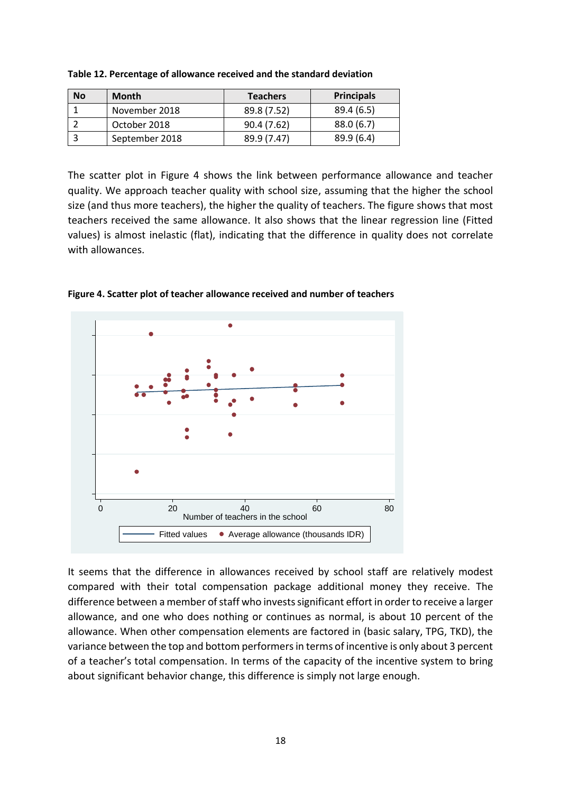| <b>No</b> | <b>Month</b>   | <b>Teachers</b> | <b>Principals</b> |
|-----------|----------------|-----------------|-------------------|
|           | November 2018  | 89.8 (7.52)     | 89.4(6.5)         |
|           | October 2018   | 90.4(7.62)      | 88.0(6.7)         |
|           | September 2018 | 89.9 (7.47)     | 89.9(6.4)         |

**Table 12. Percentage of allowance received and the standard deviation** 

The scatter plot in Figure 4 shows the link between performance allowance and teacher quality. We approach teacher quality with school size, assuming that the higher the school size (and thus more teachers), the higher the quality of teachers. The figure shows that most teachers received the same allowance. It also shows that the linear regression line (Fitted values) is almost inelastic (flat), indicating that the difference in quality does not correlate with allowances.



**Figure 4. Scatter plot of teacher allowance received and number of teachers**

It seems that the difference in allowances received by school staff are relatively modest compared with their total compensation package additional money they receive. The difference between a member of staff who invests significant effort in order to receive a larger allowance, and one who does nothing or continues as normal, is about 10 percent of the allowance. When other compensation elements are factored in (basic salary, TPG, TKD), the variance between the top and bottom performers in terms of incentive is only about 3 percent of a teacher's total compensation. In terms of the capacity of the incentive system to bring about significant behavior change, this difference is simply not large enough.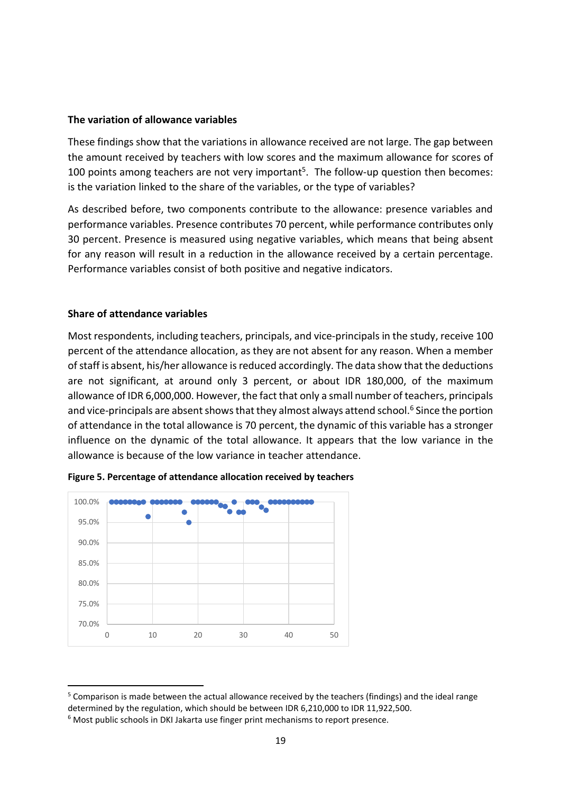#### **The variation of allowance variables**

These findings show that the variations in allowance received are not large. The gap between the amount received by teachers with low scores and the maximum allowance for scores of 100 points among teachers are not very important<sup>5</sup>. The follow-up question then becomes: is the variation linked to the share of the variables, or the type of variables?

As described before, two components contribute to the allowance: presence variables and performance variables. Presence contributes 70 percent, while performance contributes only 30 percent. Presence is measured using negative variables, which means that being absent for any reason will result in a reduction in the allowance received by a certain percentage. Performance variables consist of both positive and negative indicators.

#### **Share of attendance variables**

Most respondents, including teachers, principals, and vice-principals in the study, receive 100 percent of the attendance allocation, as they are not absent for any reason. When a member of staff is absent, his/her allowance is reduced accordingly. The data show that the deductions are not significant, at around only 3 percent, or about IDR 180,000, of the maximum allowance of IDR 6,000,000. However, the fact that only a small number of teachers, principals and vice-principals are absent shows that they almost always attend school.<sup>6</sup> Since the portion of attendance in the total allowance is 70 percent, the dynamic of this variable has a stronger influence on the dynamic of the total allowance. It appears that the low variance in the allowance is because of the low variance in teacher attendance.





<sup>&</sup>lt;sup>5</sup> Comparison is made between the actual allowance received by the teachers (findings) and the ideal range determined by the regulation, which should be between IDR 6,210,000 to IDR 11,922,500.

<sup>&</sup>lt;sup>6</sup> Most public schools in DKI Jakarta use finger print mechanisms to report presence.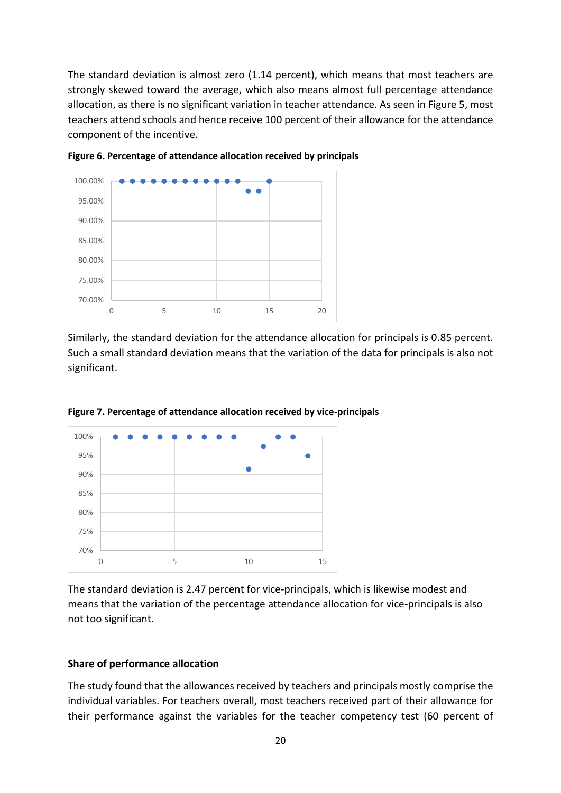The standard deviation is almost zero (1.14 percent), which means that most teachers are strongly skewed toward the average, which also means almost full percentage attendance allocation, as there is no significant variation in teacher attendance. As seen in Figure 5, most teachers attend schools and hence receive 100 percent of their allowance for the attendance component of the incentive.



**Figure 6. Percentage of attendance allocation received by principals**

Similarly, the standard deviation for the attendance allocation for principals is 0.85 percent. Such a small standard deviation means that the variation of the data for principals is also not significant.





The standard deviation is 2.47 percent for vice-principals, which is likewise modest and means that the variation of the percentage attendance allocation for vice-principals is also not too significant.

#### **Share of performance allocation**

The study found that the allowances received by teachers and principals mostly comprise the individual variables. For teachers overall, most teachers received part of their allowance for their performance against the variables for the teacher competency test (60 percent of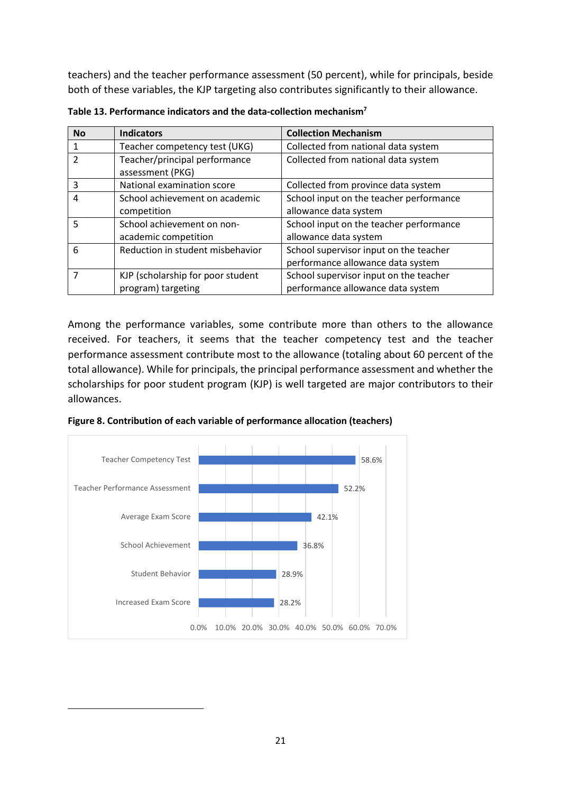teachers) and the teacher performance assessment (50 percent), while for principals, beside both of these variables, the KJP targeting also contributes significantly to their allowance.

| <b>No</b> | <b>Indicators</b>                 | <b>Collection Mechanism</b>             |
|-----------|-----------------------------------|-----------------------------------------|
|           | Teacher competency test (UKG)     | Collected from national data system     |
| 2         | Teacher/principal performance     | Collected from national data system     |
|           | assessment (PKG)                  |                                         |
| 3         | National examination score        | Collected from province data system     |
| 4         | School achievement on academic    | School input on the teacher performance |
|           | competition                       | allowance data system                   |
| 5         | School achievement on non-        | School input on the teacher performance |
|           | academic competition              | allowance data system                   |
| 6         | Reduction in student misbehavior  | School supervisor input on the teacher  |
|           |                                   | performance allowance data system       |
|           | KJP (scholarship for poor student | School supervisor input on the teacher  |
|           | program) targeting                | performance allowance data system       |

**Table 13. Performance indicators and the data-collection mechanism<sup>7</sup>**

Among the performance variables, some contribute more than others to the allowance received. For teachers, it seems that the teacher competency test and the teacher performance assessment contribute most to the allowance (totaling about 60 percent of the total allowance). While for principals, the principal performance assessment and whether the scholarships for poor student program (KJP) is well targeted are major contributors to their allowances.



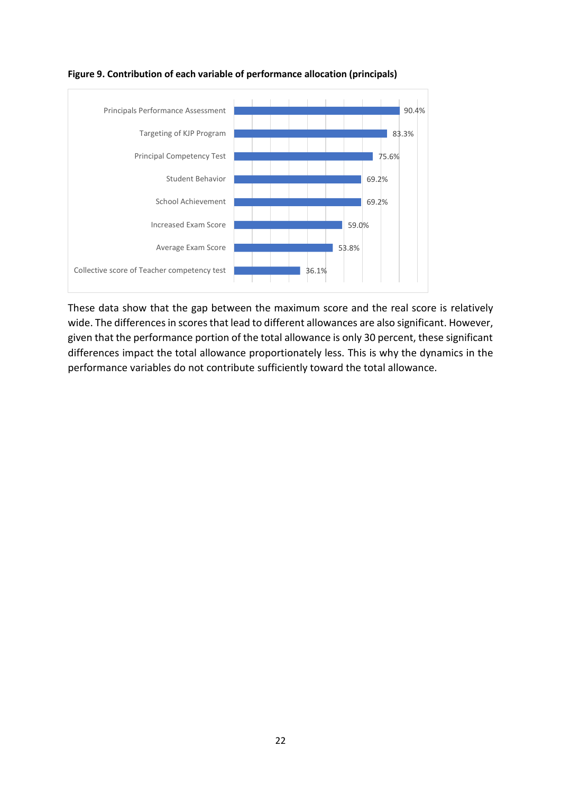

#### **Figure 9. Contribution of each variable of performance allocation (principals)**

These data show that the gap between the maximum score and the real score is relatively wide. The differences in scores that lead to different allowances are also significant. However, given that the performance portion of the total allowance is only 30 percent, these significant differences impact the total allowance proportionately less. This is why the dynamics in the performance variables do not contribute sufficiently toward the total allowance.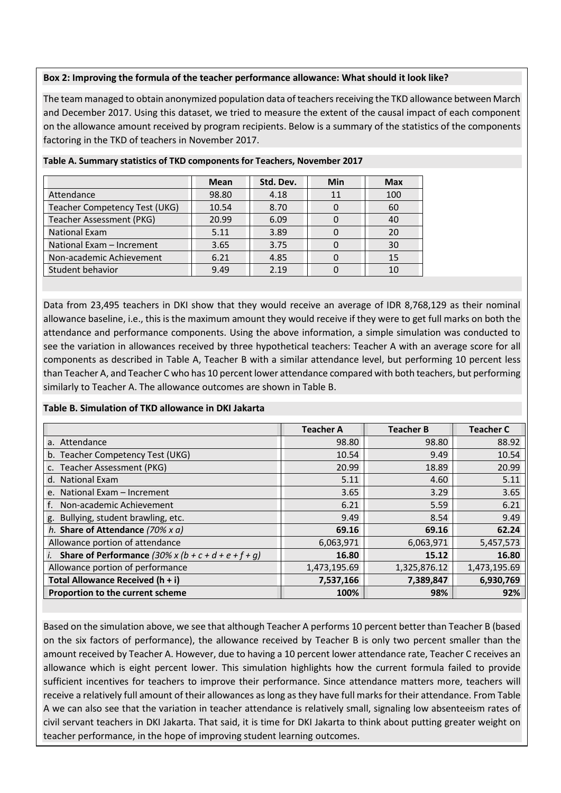#### **Box 2: Improving the formula of the teacher performance allowance: What should it look like?**

The team managed to obtain anonymized population data of teachers receiving the TKD allowance between March and December 2017. Using this dataset, we tried to measure the extent of the causal impact of each component on the allowance amount received by program recipients. Below is a summary of the statistics of the components factoring in the TKD of teachers in November 2017.

|                               | <b>Mean</b> | Std. Dev. | Min | <b>Max</b> |
|-------------------------------|-------------|-----------|-----|------------|
| Attendance                    | 98.80       | 4.18      | 11  | 100        |
| Teacher Competency Test (UKG) | 10.54       | 8.70      |     | 60         |
| Teacher Assessment (PKG)      | 20.99       | 6.09      |     | 40         |
| National Exam                 | 5.11        | 3.89      |     | 20         |
| National Exam - Increment     | 3.65        | 3.75      |     | 30         |
| Non-academic Achievement      | 6.21        | 4.85      |     | 15         |
| <b>Student behavior</b>       | 9.49        | 2.19      |     | 10         |

#### **Table A. Summary statistics of TKD components for Teachers, November 2017**

Data from 23,495 teachers in DKI show that they would receive an average of IDR 8,768,129 as their nominal allowance baseline, i.e., this is the maximum amount they would receive if they were to get full marks on both the attendance and performance components. Using the above information, a simple simulation was conducted to see the variation in allowances received by three hypothetical teachers: Teacher A with an average score for all components as described in Table A, Teacher B with a similar attendance level, but performing 10 percent less than Teacher A, and Teacher C who has 10 percent lower attendance compared with both teachers, but performing similarly to Teacher A. The allowance outcomes are shown in Table B.

#### **Table B. Simulation of TKD allowance in DKI Jakarta**

|                                                              | <b>Teacher A</b> | <b>Teacher B</b> | <b>Teacher C</b> |
|--------------------------------------------------------------|------------------|------------------|------------------|
| a. Attendance                                                | 98.80            | 98.80            | 88.92            |
| b. Teacher Competency Test (UKG)                             | 10.54            | 9.49             | 10.54            |
| c. Teacher Assessment (PKG)                                  | 20.99            | 18.89            | 20.99            |
| d. National Exam                                             | 5.11             | 4.60             | 5.11             |
| e. National Exam - Increment                                 | 3.65             | 3.29             | 3.65             |
| Non-academic Achievement                                     | 6.21             | 5.59             | 6.21             |
| Bullying, student brawling, etc.<br>g.                       | 9.49             | 8.54             | 9.49             |
| h. Share of Attendance $(70\% \times a)$                     | 69.16            | 69.16            | 62.24            |
| Allowance portion of attendance                              | 6,063,971        | 6,063,971        | 5,457,573        |
| Share of Performance $(30\% \times (b + c + d + e + f + q))$ | 16.80            | 15.12            | 16.80            |
| Allowance portion of performance                             | 1,473,195.69     | 1,325,876.12     | 1,473,195.69     |
| Total Allowance Received (h + i)                             | 7,537,166        | 7,389,847        | 6,930,769        |
| Proportion to the current scheme                             | 100%             | 98%              | 92%              |

teacher performance, in the hope of improving student learning outcomes. Based on the simulation above, we see that although Teacher A performs 10 percent better than Teacher B (based on the six factors of performance), the allowance received by Teacher B is only two percent smaller than the amount received by Teacher A. However, due to having a 10 percent lower attendance rate, Teacher C receives an allowance which is eight percent lower. This simulation highlights how the current formula failed to provide sufficient incentives for teachers to improve their performance. Since attendance matters more, teachers will receive a relatively full amount of their allowances as long as they have full marks for their attendance. From Table A we can also see that the variation in teacher attendance is relatively small, signaling low absenteeism rates of civil servant teachers in DKI Jakarta. That said, it is time for DKI Jakarta to think about putting greater weight on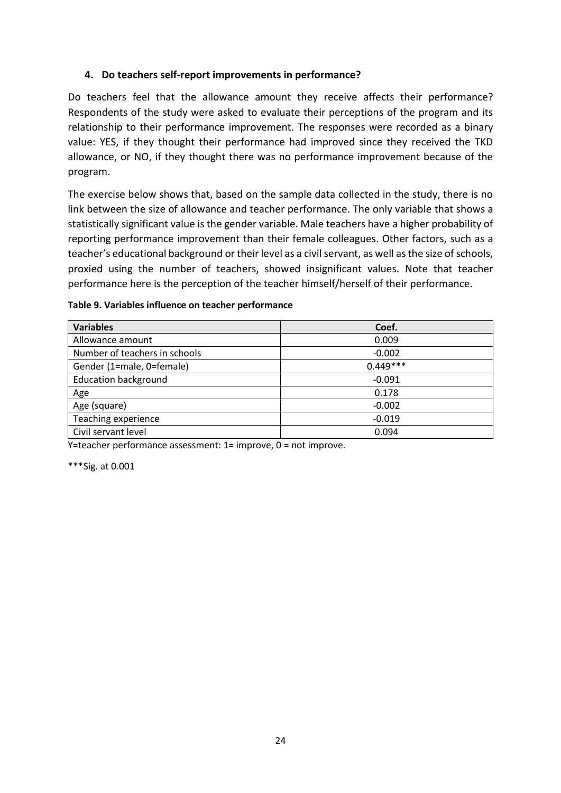#### <span id="page-23-0"></span>**4. Do teachers self-report improvements in performance?**

Do teachers feel that the allowance amount they receive affects their performance? Respondents of the study were asked to evaluate their perceptions of the program and its relationship to their performance improvement. The responses were recorded as a binary value: YES, if they thought their performance had improved since they received the TKD allowance, or NO, if they thought there was no performance improvement because of the program.

The exercise below shows that, based on the sample data collected in the study, there is no link between the size of allowance and teacher performance. The only variable that shows a statistically significant value is the gender variable. Male teachers have a higher probability of reporting performance improvement than their female colleagues. Other factors, such as a teacher's educational background or their level as a civil servant, as well as the size of schools, proxied using the number of teachers, showed insignificant values. Note that teacher performance here is the perception of the teacher himself/herself of their performance.

| <b>Variables</b>              | Coef.      |
|-------------------------------|------------|
| Allowance amount              | 0.009      |
| Number of teachers in schools | $-0.002$   |
| Gender (1=male, 0=female)     | $0.449***$ |
| <b>Education background</b>   | $-0.091$   |
| Age                           | 0.178      |
| Age (square)                  | $-0.002$   |
| Teaching experience           | $-0.019$   |
| Civil servant level           | 0.094      |

#### **Table 9. Variables influence on teacher performance**

Y=teacher performance assessment: 1= improve, 0 = not improve.

\*\*\*Sig. at 0.001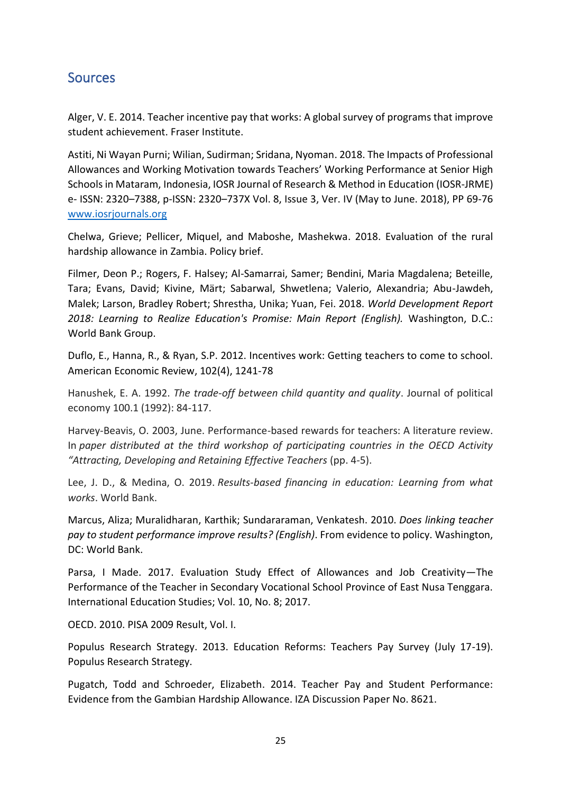## <span id="page-24-0"></span>**Sources**

Alger, V. E. 2014. Teacher incentive pay that works: A global survey of programs that improve student achievement. Fraser Institute.

Astiti, Ni Wayan Purni; Wilian, Sudirman; Sridana, Nyoman. 2018. The Impacts of Professional Allowances and Working Motivation towards Teachers' Working Performance at Senior High Schools in Mataram, Indonesia, IOSR Journal of Research & Method in Education (IOSR-JRME) e- ISSN: 2320–7388, p-ISSN: 2320–737X Vol. 8, Issue 3, Ver. IV (May to June. 2018), PP 69-76 [www.iosrjournals.org](http://www.iosrjournals.org/)

Chelwa, Grieve; Pellicer, Miquel, and Maboshe, Mashekwa. 2018. Evaluation of the rural hardship allowance in Zambia. Policy brief.

Filmer, Deon P.; Rogers, F. Halsey; Al-Samarrai, Samer; Bendini, Maria Magdalena; Beteille, Tara; Evans, David; Kivine, Märt; Sabarwal, Shwetlena; Valerio, Alexandria; Abu-Jawdeh, Malek; Larson, Bradley Robert; Shrestha, Unika; Yuan, Fei. 2018. *World Development Report 2018: Learning to Realize Education's Promise: Main Report (English).* Washington, D.C.: World Bank Group.

Duflo, E., Hanna, R., & Ryan, S.P. 2012. Incentives work: Getting teachers to come to school. American Economic Review, 102(4), 1241-78

Hanushek, E. A. 1992. *The trade-off between child quantity and quality*. Journal of political economy 100.1 (1992): 84-117.

Harvey-Beavis, O. 2003, June. Performance-based rewards for teachers: A literature review. In *paper distributed at the third workshop of participating countries in the OECD Activity "Attracting, Developing and Retaining Effective Teachers* (pp. 4-5).

Lee, J. D., & Medina, O. 2019. *Results-based financing in education: Learning from what works*. World Bank.

Marcus, Aliza; Muralidharan, Karthik; Sundararaman, Venkatesh. 2010. *Does linking teacher pay to student performance improve results? (English)*. From evidence to policy. Washington, DC: World Bank.

Parsa, I Made. 2017. Evaluation Study Effect of Allowances and Job Creativity—The Performance of the Teacher in Secondary Vocational School Province of East Nusa Tenggara. International Education Studies; Vol. 10, No. 8; 2017.

OECD. 2010. PISA 2009 Result, Vol. I.

Populus Research Strategy. 2013. Education Reforms: Teachers Pay Survey (July 17-19). Populus Research Strategy.

Pugatch, Todd and Schroeder, Elizabeth. 2014. Teacher Pay and Student Performance: Evidence from the Gambian Hardship Allowance. IZA Discussion Paper No. 8621.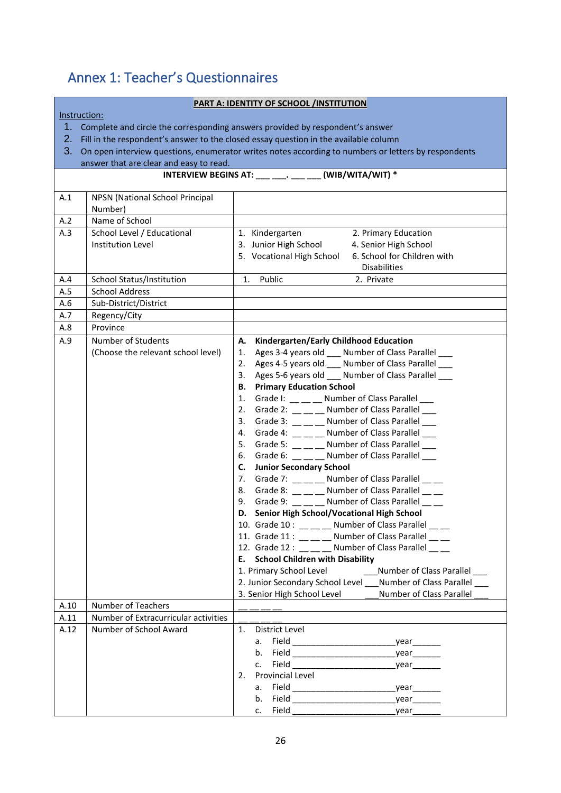## <span id="page-25-0"></span>Annex 1: Teacher's Questionnaires

#### **PART A: IDENTITY OF SCHOOL /INSTITUTION**

#### Instruction:

- 1. Complete and circle the corresponding answers provided by respondent's answer
- 2. Fill in the respondent's answer to the closed essay question in the available column

#### 3. On open interview questions, enumerator writes notes according to numbers or letters by respondents answer that are clear and easy to read.

#### **INTERVIEW BEGINS AT: \_\_\_ \_\_\_. \_\_\_ \_\_\_ (WIB/WITA/WIT) \*** A.1 | NPSN (National School Principal Number) A.2 Name of School A.3 School Level / Educational Institution Level 1. Kindergarten 2. Primary Education 3. Junior High School 4. Senior High School 5. Vocational High School 6. School for Children with Disabilities A.4 School Status/Institution 1. Public 2. Private A.5 | School Address A.6 | Sub-District/District A.7 Regency/City A.8 Province A.9 Number of Students (Choose the relevant school level) **A. Kindergarten/Early Childhood Education**  1. Ages 3-4 years old \_\_\_ Number of Class Parallel \_\_\_ 2. Ages 4-5 years old \_\_\_ Number of Class Parallel \_\_\_ 3. Ages 5-6 years old \_\_\_ Number of Class Parallel \_\_\_ **B. Primary Education School**  1. Grade I: Mumber of Class Parallel 2. Grade 2:  $\frac{m}{m}$  Number of Class Parallel  $\frac{m}{m}$ 3. Grade 3:  $\frac{1}{2}$  \_\_ \_\_ Number of Class Parallel \_\_\_ 4. Grade 4: \_\_ \_\_ \_\_ Number of Class Parallel \_\_\_ 5. Grade 5: \_\_ \_\_ Number of Class Parallel \_\_\_ 6. Grade 6:  $\frac{1}{2}$  Number of Class Parallel **C. Junior Secondary School**  7. Grade 7:  $\frac{1}{2}$  \_\_ \_\_ Number of Class Parallel  $\frac{1}{2}$ 8. Grade 8:  $\frac{1}{1}$   $\frac{1}{1}$   $\frac{1}{1}$  Number of Class Parallel  $\frac{1}{1}$ 9. Grade 9:  $\frac{m}{m}$  Number of Class Parallel  $\frac{m}{m}$ **D. Senior High School/Vocational High School**  10. Grade  $10 : \_\_\_\_\_\$  Number of Class Parallel  $\_\_\_\_\_\$ 11. Grade 11 :  $\frac{1}{2}$   $\frac{1}{2}$  Number of Class Parallel  $\frac{1}{2}$ 12. Grade 12 :  $\frac{1}{2}$  \_ \_ \_ \_ Number of Class Parallel \_ \_ **E. School Children with Disability**  1. Primary School Level \_\_\_\_\_\_\_\_\_\_\_\_\_\_Number of Class Parallel \_\_\_\_ 2. Junior Secondary School Level Number of Class Parallel 3. Senior High School Level \_\_\_\_\_\_\_\_\_\_\_Number of Class Parallel A.10 Number of Teachers A.11 | Number of Extracurricular activities A.12 Number of School Award 1. District Level a. Field \_\_\_\_\_\_\_\_\_\_\_\_\_\_\_\_\_\_\_\_\_\_year\_\_\_\_\_\_ b. Field \_\_\_\_\_\_\_\_\_\_\_\_\_\_\_\_\_\_\_\_\_\_year\_\_\_\_\_\_ c. Field vear 2. Provincial Level a. Field \_\_\_\_\_\_\_\_\_\_\_\_\_\_\_\_\_\_\_\_\_\_year\_\_\_\_\_\_ b. Field \_\_\_\_\_\_\_\_\_\_\_\_\_\_\_\_\_\_\_\_\_\_year\_\_\_\_\_\_ c. Field year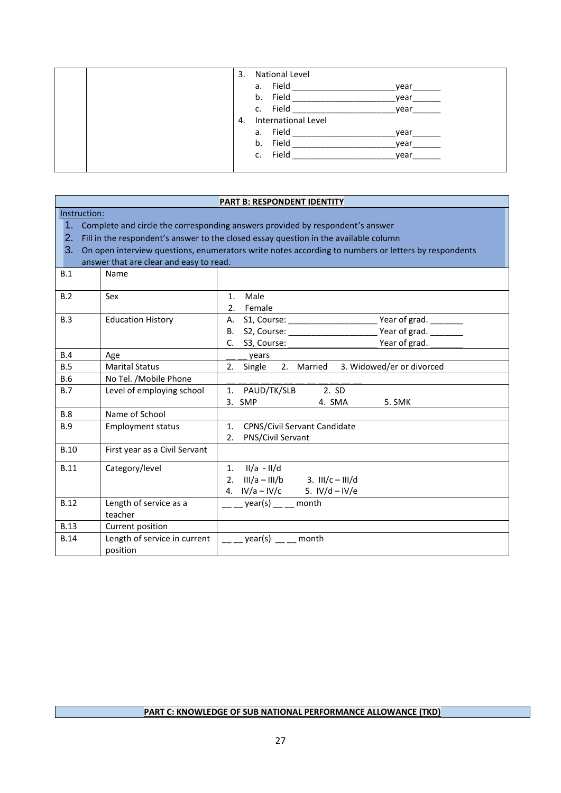| 3. | National Level                                                                                                                                                                                                                 |      |
|----|--------------------------------------------------------------------------------------------------------------------------------------------------------------------------------------------------------------------------------|------|
|    | a. Field and the state of the state of the state of the state of the state of the                                                                                                                                              | vear |
|    | b. Field                                                                                                                                                                                                                       | vear |
|    | c. Field and the state of the state of the state of the state of the state of the state of the state of the state of the state of the state of the state of the state of the state of the state of the state of the state of t | vear |
| 4. | International Level                                                                                                                                                                                                            |      |
|    | a. Field and the state of the state of the state of the state of the state of the state of the state                                                                                                                           | vear |
|    |                                                                                                                                                                                                                                | vear |
|    | c. Field                                                                                                                                                                                                                       | vear |
|    |                                                                                                                                                                                                                                |      |

| <b>PART B: RESPONDENT IDENTITY</b> |                                                                                      |                                                                                                     |  |  |  |  |  |
|------------------------------------|--------------------------------------------------------------------------------------|-----------------------------------------------------------------------------------------------------|--|--|--|--|--|
|                                    | Instruction:                                                                         |                                                                                                     |  |  |  |  |  |
| 1.                                 | Complete and circle the corresponding answers provided by respondent's answer        |                                                                                                     |  |  |  |  |  |
| 2.                                 | Fill in the respondent's answer to the closed essay question in the available column |                                                                                                     |  |  |  |  |  |
| 3.                                 |                                                                                      | On open interview questions, enumerators write notes according to numbers or letters by respondents |  |  |  |  |  |
|                                    | answer that are clear and easy to read.                                              |                                                                                                     |  |  |  |  |  |
| B.1                                | Name                                                                                 |                                                                                                     |  |  |  |  |  |
|                                    |                                                                                      |                                                                                                     |  |  |  |  |  |
| B.2                                | Sex                                                                                  | Male<br>1 <sub>1</sub>                                                                              |  |  |  |  |  |
|                                    |                                                                                      | 2. Female                                                                                           |  |  |  |  |  |
| B.3                                | <b>Education History</b>                                                             |                                                                                                     |  |  |  |  |  |
|                                    |                                                                                      |                                                                                                     |  |  |  |  |  |
|                                    |                                                                                      | Year of grad.<br>C. S3, Course: __________                                                          |  |  |  |  |  |
| B.4                                | Age                                                                                  | __ __ years                                                                                         |  |  |  |  |  |
| B.5                                | <b>Marital Status</b>                                                                | 3. Widowed/er or divorced<br>2. Single 2. Married                                                   |  |  |  |  |  |
| B.6                                | No Tel. /Mobile Phone                                                                |                                                                                                     |  |  |  |  |  |
| B.7                                | Level of employing school                                                            | 1. PAUD/TK/SLB 2. SD                                                                                |  |  |  |  |  |
|                                    |                                                                                      | 3. SMP<br>4. SMA<br>5. SMK                                                                          |  |  |  |  |  |
| <b>B.8</b>                         | Name of School                                                                       |                                                                                                     |  |  |  |  |  |
| <b>B.9</b>                         | <b>Employment status</b>                                                             | 1. CPNS/Civil Servant Candidate                                                                     |  |  |  |  |  |
|                                    |                                                                                      | PNS/Civil Servant<br>2.                                                                             |  |  |  |  |  |
| <b>B.10</b>                        | First year as a Civil Servant                                                        |                                                                                                     |  |  |  |  |  |
| <b>B.11</b>                        | Category/level                                                                       | 1. $11/a - 11/d$                                                                                    |  |  |  |  |  |
|                                    |                                                                                      | 2. $III/a - III/b$ 3. $III/c - III/d$                                                               |  |  |  |  |  |
|                                    |                                                                                      | 4. $1V/a - 1V/c$ 5. $1V/d - 1V/e$                                                                   |  |  |  |  |  |
| <b>B.12</b>                        | Length of service as a                                                               | year(s) month                                                                                       |  |  |  |  |  |
|                                    | teacher                                                                              |                                                                                                     |  |  |  |  |  |
| <b>B.13</b>                        | Current position                                                                     |                                                                                                     |  |  |  |  |  |
| <b>B.14</b>                        | Length of service in current                                                         | year(s) month                                                                                       |  |  |  |  |  |
|                                    | position                                                                             |                                                                                                     |  |  |  |  |  |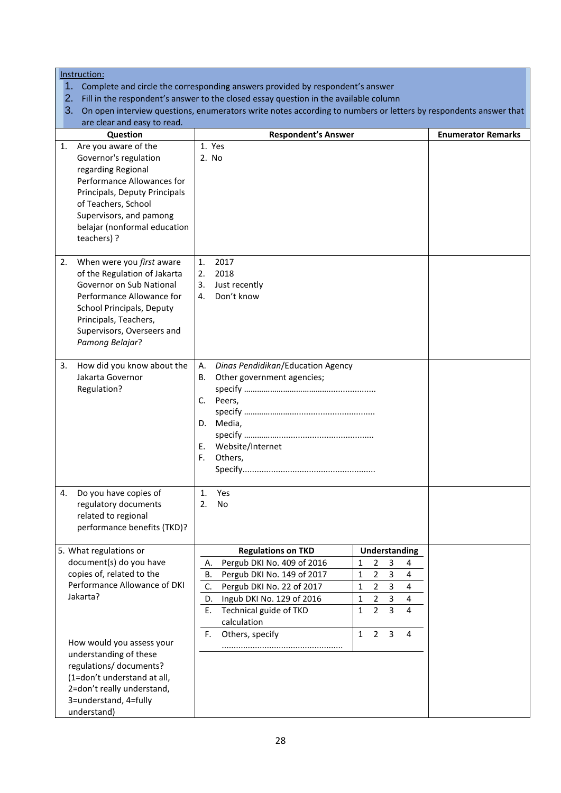| Instruction:<br>2.<br>3.<br>are clear and easy to read.                                                                                                                                                                                                                                                           | 1. Complete and circle the corresponding answers provided by respondent's answer<br>Fill in the respondent's answer to the closed essay question in the available column<br>On open interview questions, enumerators write notes according to numbers or letters by respondents answer that |                                                                                                                                                                                                                                                                                     |                           |
|-------------------------------------------------------------------------------------------------------------------------------------------------------------------------------------------------------------------------------------------------------------------------------------------------------------------|---------------------------------------------------------------------------------------------------------------------------------------------------------------------------------------------------------------------------------------------------------------------------------------------|-------------------------------------------------------------------------------------------------------------------------------------------------------------------------------------------------------------------------------------------------------------------------------------|---------------------------|
| Question                                                                                                                                                                                                                                                                                                          | <b>Respondent's Answer</b>                                                                                                                                                                                                                                                                  |                                                                                                                                                                                                                                                                                     | <b>Enumerator Remarks</b> |
| Are you aware of the<br>1.<br>Governor's regulation<br>regarding Regional<br>Performance Allowances for<br>Principals, Deputy Principals<br>of Teachers, School<br>Supervisors, and pamong<br>belajar (nonformal education<br>teachers) ?                                                                         | 1. Yes<br>2. No                                                                                                                                                                                                                                                                             |                                                                                                                                                                                                                                                                                     |                           |
| When were you first aware<br>2.<br>of the Regulation of Jakarta<br>Governor on Sub National<br>Performance Allowance for<br>School Principals, Deputy<br>Principals, Teachers,<br>Supervisors, Overseers and<br>Pamong Belajar?                                                                                   | 1.<br>2017<br>2018<br>2.<br>Just recently<br>3.<br>Don't know<br>4.                                                                                                                                                                                                                         |                                                                                                                                                                                                                                                                                     |                           |
| How did you know about the<br>3.<br>Jakarta Governor<br>Regulation?                                                                                                                                                                                                                                               | Dinas Pendidikan/Education Agency<br>А.<br>Other government agencies;<br>В.<br>C. Peers,<br>D. Media,<br>Website/Internet<br>Е.<br>F.<br>Others,                                                                                                                                            |                                                                                                                                                                                                                                                                                     |                           |
| Do you have copies of<br>4.<br>regulatory documents<br>related to regional<br>performance benefits (TKD)?                                                                                                                                                                                                         | 1.<br>Yes<br>2.<br><b>No</b>                                                                                                                                                                                                                                                                |                                                                                                                                                                                                                                                                                     |                           |
| 5. What regulations or<br>document(s) do you have<br>copies of, related to the<br>Performance Allowance of DKI<br>Jakarta?<br>How would you assess your<br>understanding of these<br>regulations/ documents?<br>(1=don't understand at all,<br>2=don't really understand,<br>3=understand, 4=fully<br>understand) | <b>Regulations on TKD</b><br>Pergub DKI No. 409 of 2016<br>А.<br><b>B.</b><br>Pergub DKI No. 149 of 2017<br>C.<br>Pergub DKI No. 22 of 2017<br>D.<br>Ingub DKI No. 129 of 2016<br>Technical guide of TKD<br>Ε.<br>calculation<br>F.<br>Others, specify                                      | <b>Understanding</b><br>3<br>1<br>2<br>4<br>$\overline{3}$<br>$\overline{2}$<br>$\overline{\mathbf{4}}$<br>1<br>$\overline{3}$<br>4<br>1<br>2<br>3<br>1<br>$\overline{2}$<br>4<br>$\overline{3}$<br>$\overline{2}$<br>$\mathbf{1}$<br>4<br>$\mathbf{1}$<br>$\overline{2}$<br>3<br>4 |                           |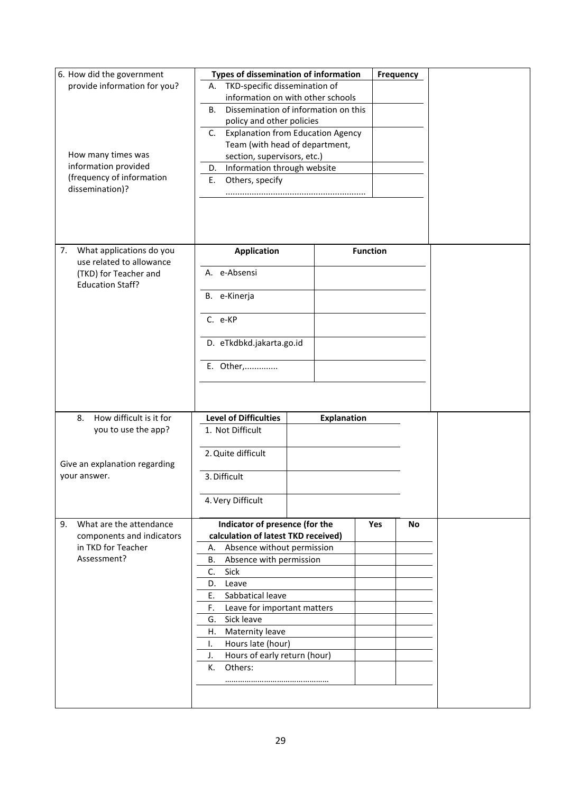| 6. How did the government<br>provide information for you?<br>How many times was<br>information provided<br>(frequency of information<br>dissemination)? | Types of dissemination of information<br>TKD-specific dissemination of<br>А.<br>В.<br>policy and other policies<br>C.<br>section, supervisors, etc.)<br>D. Information through website<br>E.<br>Others, specify                                                                                                                                                    | information on with other schools<br>Dissemination of information on this<br><b>Explanation from Education Agency</b><br>Team (with head of department, | Frequency       |    |  |
|---------------------------------------------------------------------------------------------------------------------------------------------------------|--------------------------------------------------------------------------------------------------------------------------------------------------------------------------------------------------------------------------------------------------------------------------------------------------------------------------------------------------------------------|---------------------------------------------------------------------------------------------------------------------------------------------------------|-----------------|----|--|
| What applications do you<br>7.                                                                                                                          | <b>Application</b>                                                                                                                                                                                                                                                                                                                                                 |                                                                                                                                                         | <b>Function</b> |    |  |
| use related to allowance<br>(TKD) for Teacher and<br><b>Education Staff?</b>                                                                            | A. e-Absensi<br>B. e-Kinerja<br>C. e-KP<br>D. eTkdbkd.jakarta.go.id<br>E. Other,                                                                                                                                                                                                                                                                                   |                                                                                                                                                         |                 |    |  |
| How difficult is it for<br>8.                                                                                                                           | <b>Level of Difficulties</b>                                                                                                                                                                                                                                                                                                                                       | <b>Explanation</b>                                                                                                                                      |                 |    |  |
| you to use the app?<br>Give an explanation regarding<br>your answer.                                                                                    | 1. Not Difficult<br>2. Quite difficult<br>3. Difficult<br>4. Very Difficult                                                                                                                                                                                                                                                                                        |                                                                                                                                                         |                 |    |  |
| 9.<br>What are the attendance<br>components and indicators<br>in TKD for Teacher<br>Assessment?                                                         | Indicator of presence (for the<br>calculation of latest TKD received)<br>Absence without permission<br>А.<br>В.<br>Absence with permission<br>C.<br>Sick<br>D.<br>Leave<br>Ε.<br>Sabbatical leave<br>F.<br>Leave for important matters<br>Sick leave<br>G.<br>H. Maternity leave<br>Hours late (hour)<br>I.<br>Hours of early return (hour)<br>J.<br>Others:<br>К. |                                                                                                                                                         | Yes             | No |  |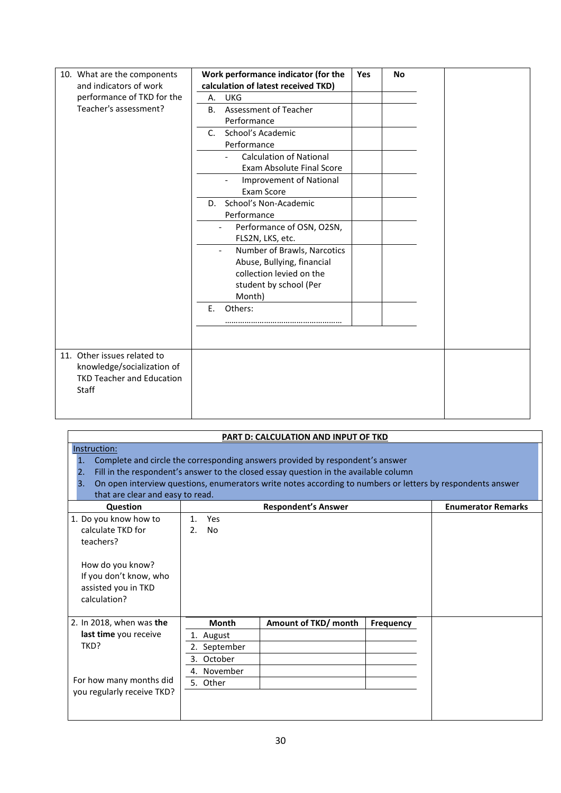| 10. What are the components<br>and indicators of work                                                         | Work performance indicator (for the<br>calculation of latest received TKD)                                                                            | Yes | <b>No</b> |  |
|---------------------------------------------------------------------------------------------------------------|-------------------------------------------------------------------------------------------------------------------------------------------------------|-----|-----------|--|
| performance of TKD for the                                                                                    | <b>UKG</b><br>Α.                                                                                                                                      |     |           |  |
| Teacher's assessment?                                                                                         | Assessment of Teacher<br><b>B.</b><br>Performance                                                                                                     |     |           |  |
|                                                                                                               | School's Academic<br>C.<br>Performance                                                                                                                |     |           |  |
|                                                                                                               | <b>Calculation of National</b><br>Exam Absolute Final Score                                                                                           |     |           |  |
|                                                                                                               | Improvement of National<br>$\overline{\phantom{0}}$<br>Exam Score                                                                                     |     |           |  |
|                                                                                                               | School's Non-Academic<br>D.<br>Performance                                                                                                            |     |           |  |
|                                                                                                               | Performance of OSN, O2SN,<br>FLS2N, LKS, etc.                                                                                                         |     |           |  |
|                                                                                                               | Number of Brawls, Narcotics<br>$\overline{\phantom{a}}$<br>Abuse, Bullying, financial<br>collection levied on the<br>student by school (Per<br>Month) |     |           |  |
|                                                                                                               | Others:<br>E.                                                                                                                                         |     |           |  |
| 11. Other issues related to<br>knowledge/socialization of<br><b>TKD Teacher and Education</b><br><b>Staff</b> |                                                                                                                                                       |     |           |  |

|                                                                                                                                                                                                                                                                                                                                                           |                              | PART D: CALCULATION AND INPUT OF TKD |                  |                           |
|-----------------------------------------------------------------------------------------------------------------------------------------------------------------------------------------------------------------------------------------------------------------------------------------------------------------------------------------------------------|------------------------------|--------------------------------------|------------------|---------------------------|
| Instruction:<br>1.<br>Complete and circle the corresponding answers provided by respondent's answer<br>Fill in the respondent's answer to the closed essay question in the available column<br>2.<br>On open interview questions, enumerators write notes according to numbers or letters by respondents answer<br>3.<br>that are clear and easy to read. |                              |                                      |                  |                           |
| Question                                                                                                                                                                                                                                                                                                                                                  |                              | <b>Respondent's Answer</b>           |                  | <b>Enumerator Remarks</b> |
| 1. Do you know how to<br>calculate TKD for<br>teachers?<br>How do you know?<br>If you don't know, who<br>assisted you in TKD<br>calculation?                                                                                                                                                                                                              | Yes<br>1.<br>2.<br><b>No</b> |                                      |                  |                           |
| 2. In 2018, when was the                                                                                                                                                                                                                                                                                                                                  | <b>Month</b>                 | Amount of TKD/ month                 | <b>Frequency</b> |                           |
| last time you receive                                                                                                                                                                                                                                                                                                                                     | 1. August                    |                                      |                  |                           |
| TKD?                                                                                                                                                                                                                                                                                                                                                      | 2. September                 |                                      |                  |                           |
|                                                                                                                                                                                                                                                                                                                                                           | 3. October                   |                                      |                  |                           |
|                                                                                                                                                                                                                                                                                                                                                           | 4. November                  |                                      |                  |                           |
| For how many months did<br>you regularly receive TKD?                                                                                                                                                                                                                                                                                                     | 5. Other                     |                                      |                  |                           |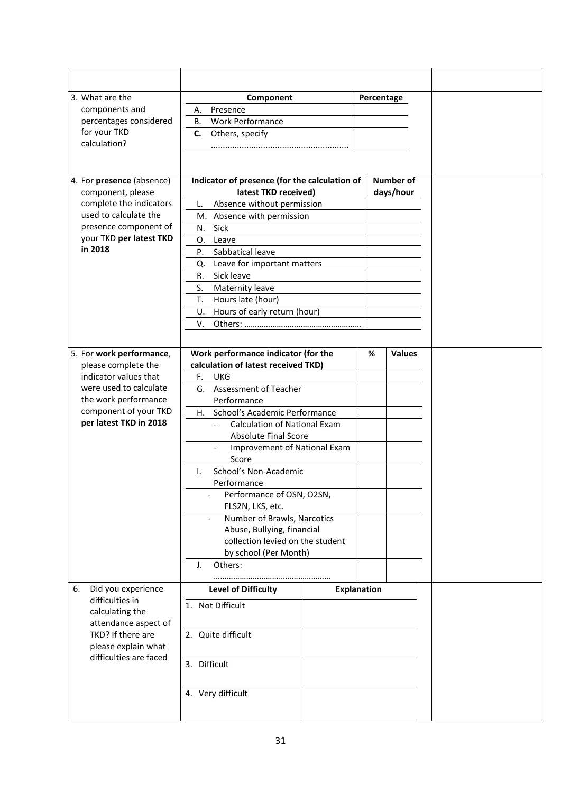| 3. What are the                               | Component                                               |                    | Percentage |                  |  |  |
|-----------------------------------------------|---------------------------------------------------------|--------------------|------------|------------------|--|--|
| components and                                | Presence<br>А.                                          |                    |            |                  |  |  |
| percentages considered                        | <b>Work Performance</b><br>В.                           |                    |            |                  |  |  |
| for your TKD                                  | C.<br>Others, specify                                   |                    |            |                  |  |  |
| calculation?                                  |                                                         |                    |            |                  |  |  |
|                                               |                                                         |                    |            |                  |  |  |
| 4. For presence (absence)                     | Indicator of presence (for the calculation of           |                    |            | <b>Number of</b> |  |  |
| component, please                             | latest TKD received)                                    |                    |            | days/hour        |  |  |
| complete the indicators                       | Absence without permission<br>L.                        |                    |            |                  |  |  |
| used to calculate the                         | M. Absence with permission                              |                    |            |                  |  |  |
| presence component of                         | Sick<br>N.                                              |                    |            |                  |  |  |
| your TKD per latest TKD<br>in 2018            | Ο.<br>Leave                                             |                    |            |                  |  |  |
|                                               | Sabbatical leave<br>Ρ.                                  |                    |            |                  |  |  |
|                                               | Leave for important matters<br>Q.                       |                    |            |                  |  |  |
|                                               | Sick leave<br>R.                                        |                    |            |                  |  |  |
|                                               | S.<br>Maternity leave                                   |                    |            |                  |  |  |
|                                               | Т.<br>Hours late (hour)                                 |                    |            |                  |  |  |
|                                               | Hours of early return (hour)<br>U.                      |                    |            |                  |  |  |
|                                               | V.                                                      |                    |            |                  |  |  |
|                                               |                                                         |                    |            |                  |  |  |
| 5. For work performance,                      | Work performance indicator (for the                     |                    | %          | <b>Values</b>    |  |  |
| please complete the<br>indicator values that  | calculation of latest received TKD)<br><b>UKG</b><br>F. |                    |            |                  |  |  |
| were used to calculate                        | G. Assessment of Teacher                                |                    |            |                  |  |  |
| the work performance                          | Performance                                             |                    |            |                  |  |  |
| component of your TKD                         | School's Academic Performance<br>Н.                     |                    |            |                  |  |  |
| per latest TKD in 2018                        | <b>Calculation of National Exam</b>                     |                    |            |                  |  |  |
|                                               | <b>Absolute Final Score</b>                             |                    |            |                  |  |  |
|                                               | Improvement of National Exam                            |                    |            |                  |  |  |
|                                               | Score                                                   |                    |            |                  |  |  |
|                                               | School's Non-Academic<br>Ι.                             |                    |            |                  |  |  |
|                                               | Performance                                             |                    |            |                  |  |  |
|                                               | Performance of OSN, O2SN,                               |                    |            |                  |  |  |
|                                               | FLS2N, LKS, etc.                                        |                    |            |                  |  |  |
|                                               | Number of Brawls, Narcotics                             |                    |            |                  |  |  |
|                                               | Abuse, Bullying, financial                              |                    |            |                  |  |  |
|                                               | collection levied on the student                        |                    |            |                  |  |  |
|                                               | by school (Per Month)                                   |                    |            |                  |  |  |
|                                               | Others:<br>J.                                           |                    |            |                  |  |  |
| Did you experience<br>6.                      | <b>Level of Difficulty</b>                              | <b>Explanation</b> |            |                  |  |  |
| difficulties in                               | 1. Not Difficult                                        |                    |            |                  |  |  |
| calculating the                               |                                                         |                    |            |                  |  |  |
| attendance aspect of                          |                                                         |                    |            |                  |  |  |
| TKD? If there are                             | 2. Quite difficult                                      |                    |            |                  |  |  |
| please explain what<br>difficulties are faced |                                                         |                    |            |                  |  |  |
|                                               | 3. Difficult                                            |                    |            |                  |  |  |
|                                               |                                                         |                    |            |                  |  |  |
|                                               | 4. Very difficult                                       |                    |            |                  |  |  |
|                                               |                                                         |                    |            |                  |  |  |
|                                               |                                                         |                    |            |                  |  |  |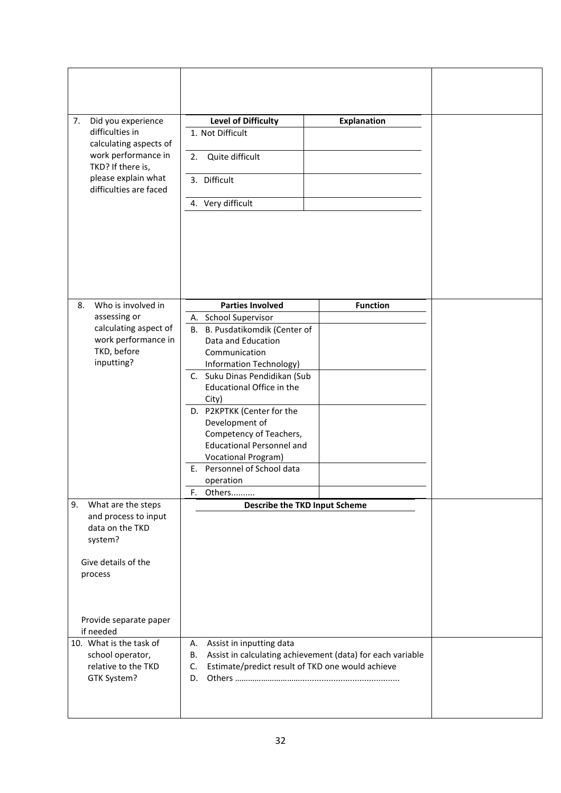| Did you experience<br>7.<br>difficulties in   | <b>Level of Difficulty</b><br>1. Not Difficult         | <b>Explanation</b>                                         |  |
|-----------------------------------------------|--------------------------------------------------------|------------------------------------------------------------|--|
| calculating aspects of                        |                                                        |                                                            |  |
| work performance in                           | Quite difficult<br>2.                                  |                                                            |  |
| TKD? If there is,                             |                                                        |                                                            |  |
| please explain what<br>difficulties are faced | 3. Difficult                                           |                                                            |  |
|                                               | 4. Very difficult                                      |                                                            |  |
|                                               |                                                        |                                                            |  |
|                                               |                                                        |                                                            |  |
|                                               |                                                        |                                                            |  |
|                                               |                                                        |                                                            |  |
|                                               |                                                        |                                                            |  |
|                                               |                                                        |                                                            |  |
| Who is involved in<br>8.                      | <b>Parties Involved</b>                                | <b>Function</b>                                            |  |
| assessing or                                  | A. School Supervisor                                   |                                                            |  |
| calculating aspect of                         | B. B. Pusdatikomdik (Center of                         |                                                            |  |
| work performance in                           | Data and Education                                     |                                                            |  |
| TKD, before                                   | Communication                                          |                                                            |  |
| inputting?                                    | Information Technology)                                |                                                            |  |
|                                               | C. Suku Dinas Pendidikan (Sub                          |                                                            |  |
|                                               | Educational Office in the                              |                                                            |  |
|                                               | City)                                                  |                                                            |  |
|                                               | D. P2KPTKK (Center for the                             |                                                            |  |
|                                               | Development of<br>Competency of Teachers,              |                                                            |  |
|                                               | <b>Educational Personnel and</b>                       |                                                            |  |
|                                               | <b>Vocational Program)</b>                             |                                                            |  |
|                                               | Personnel of School data<br>E.                         |                                                            |  |
|                                               | operation                                              |                                                            |  |
|                                               | F. Others                                              |                                                            |  |
| What are the steps<br>9.                      |                                                        | <b>Describe the TKD Input Scheme</b>                       |  |
| and process to input                          |                                                        |                                                            |  |
| data on the TKD                               |                                                        |                                                            |  |
| system?                                       |                                                        |                                                            |  |
|                                               |                                                        |                                                            |  |
| Give details of the                           |                                                        |                                                            |  |
| process                                       |                                                        |                                                            |  |
|                                               |                                                        |                                                            |  |
|                                               |                                                        |                                                            |  |
| Provide separate paper                        |                                                        |                                                            |  |
| if needed                                     |                                                        |                                                            |  |
| 10. What is the task of                       | Assist in inputting data<br>А.                         |                                                            |  |
| school operator,                              | В.                                                     | Assist in calculating achievement (data) for each variable |  |
| relative to the TKD                           | Estimate/predict result of TKD one would achieve<br>C. |                                                            |  |
| GTK System?                                   | D.                                                     |                                                            |  |
|                                               |                                                        |                                                            |  |
|                                               |                                                        |                                                            |  |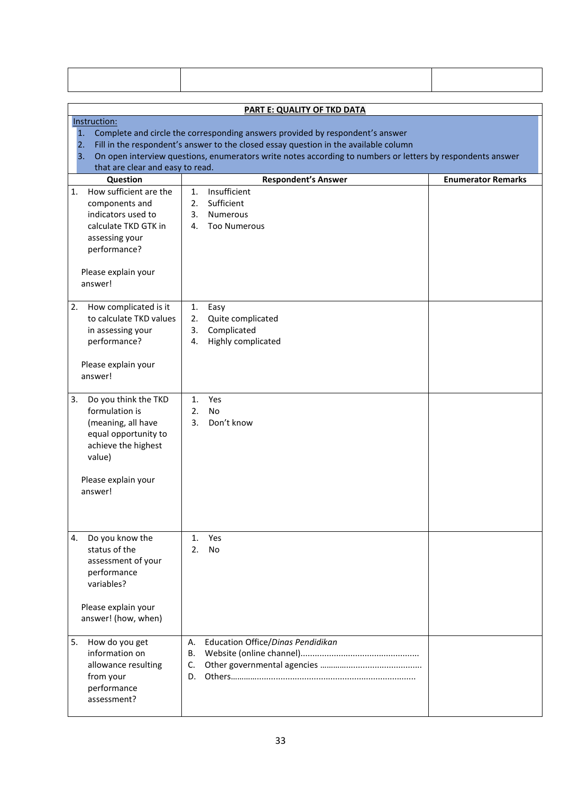| Instruction:                                                                                                                                                  | PART E: QUALITY OF TKD DATA                                                                                                                                                                                                                                                         |                           |
|---------------------------------------------------------------------------------------------------------------------------------------------------------------|-------------------------------------------------------------------------------------------------------------------------------------------------------------------------------------------------------------------------------------------------------------------------------------|---------------------------|
| 1.<br>2.<br>3.<br>that are clear and easy to read.                                                                                                            | Complete and circle the corresponding answers provided by respondent's answer<br>Fill in the respondent's answer to the closed essay question in the available column<br>On open interview questions, enumerators write notes according to numbers or letters by respondents answer |                           |
| Question                                                                                                                                                      | <b>Respondent's Answer</b>                                                                                                                                                                                                                                                          | <b>Enumerator Remarks</b> |
| How sufficient are the<br>1.<br>components and<br>indicators used to<br>calculate TKD GTK in<br>assessing your<br>performance?                                | Insufficient<br>1.<br>Sufficient<br>2.<br>3.<br>Numerous<br>4.<br><b>Too Numerous</b>                                                                                                                                                                                               |                           |
| Please explain your<br>answer!                                                                                                                                |                                                                                                                                                                                                                                                                                     |                           |
| How complicated is it<br>2.<br>to calculate TKD values<br>in assessing your<br>performance?<br>Please explain your<br>answer!                                 | 1.<br>Easy<br>2.<br>Quite complicated<br>3.<br>Complicated<br>Highly complicated<br>4.                                                                                                                                                                                              |                           |
| Do you think the TKD<br>3.<br>formulation is<br>(meaning, all have<br>equal opportunity to<br>achieve the highest<br>value)<br>Please explain your<br>answer! | Yes<br>1.<br>2.<br>No.<br>Don't know<br>3.                                                                                                                                                                                                                                          |                           |
| Do you know the<br>4.<br>status of the<br>assessment of your<br>performance<br>variables?<br>Please explain your<br>answer! (how, when)                       | Yes<br>1.<br>2.<br><b>No</b>                                                                                                                                                                                                                                                        |                           |
| How do you get<br>5.<br>information on<br>allowance resulting<br>from your<br>performance<br>assessment?                                                      | Education Office/Dinas Pendidikan<br>Α.<br>В.<br>C.<br>D.                                                                                                                                                                                                                           |                           |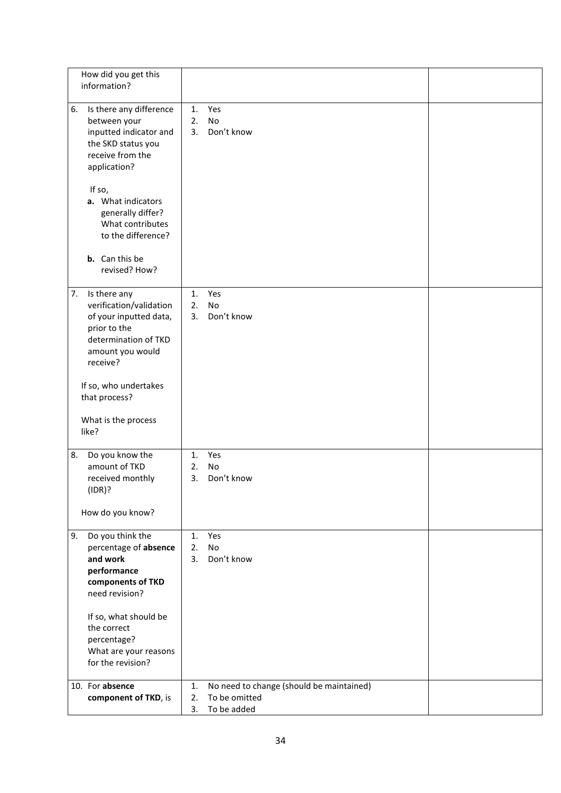| How did you get this<br>information?                                                                                                            |                                                                                            |  |
|-------------------------------------------------------------------------------------------------------------------------------------------------|--------------------------------------------------------------------------------------------|--|
| Is there any difference<br>6.<br>between your<br>inputted indicator and<br>the SKD status you<br>receive from the<br>application?               | Yes<br>1.<br>2.<br>No<br>Don't know<br>3.                                                  |  |
| If so,<br>a. What indicators<br>generally differ?<br>What contributes<br>to the difference?                                                     |                                                                                            |  |
| <b>b.</b> Can this be<br>revised? How?                                                                                                          |                                                                                            |  |
| Is there any<br>7.<br>verification/validation<br>of your inputted data,<br>prior to the<br>determination of TKD<br>amount you would<br>receive? | Yes<br>1.<br>2.<br>No<br>Don't know<br>3.                                                  |  |
| If so, who undertakes<br>that process?                                                                                                          |                                                                                            |  |
| What is the process<br>like?                                                                                                                    |                                                                                            |  |
| Do you know the<br>8.<br>amount of TKD<br>received monthly<br>(IDR)?                                                                            | Yes<br>1.<br>No<br>2.<br>Don't know<br>3.                                                  |  |
| How do you know?<br>Do you think the<br>9.                                                                                                      | Yes<br>1.                                                                                  |  |
| percentage of absence<br>and work<br>performance<br>components of TKD<br>need revision?                                                         | 2.<br>No<br>Don't know<br>3.                                                               |  |
| If so, what should be<br>the correct<br>percentage?<br>What are your reasons<br>for the revision?                                               |                                                                                            |  |
| 10. For absence<br>component of TKD, is                                                                                                         | No need to change (should be maintained)<br>1.<br>To be omitted<br>2.<br>3.<br>To be added |  |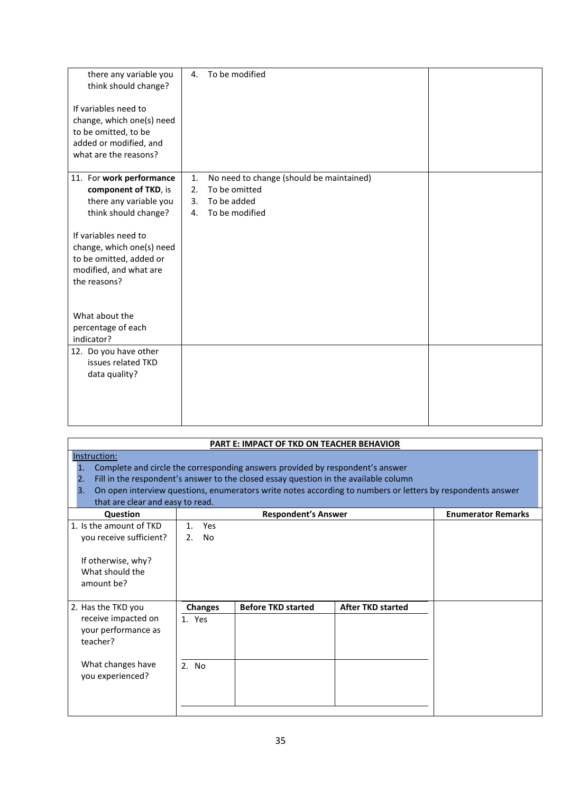| there any variable you<br>think should change?                                                                               | To be modified<br>4.                           |  |
|------------------------------------------------------------------------------------------------------------------------------|------------------------------------------------|--|
| If variables need to<br>change, which one(s) need<br>to be omitted, to be<br>added or modified, and<br>what are the reasons? |                                                |  |
| 11. For work performance                                                                                                     | No need to change (should be maintained)<br>1. |  |
| component of TKD, is                                                                                                         | 2.<br>To be omitted                            |  |
| there any variable you                                                                                                       | To be added<br>3.                              |  |
| think should change?                                                                                                         | To be modified<br>4.                           |  |
| If variables need to<br>change, which one(s) need<br>to be omitted, added or<br>modified, and what are<br>the reasons?       |                                                |  |
| What about the                                                                                                               |                                                |  |
| percentage of each                                                                                                           |                                                |  |
| indicator?                                                                                                                   |                                                |  |
| 12. Do you have other                                                                                                        |                                                |  |
| issues related TKD                                                                                                           |                                                |  |
| data quality?                                                                                                                |                                                |  |
|                                                                                                                              |                                                |  |
|                                                                                                                              |                                                |  |
|                                                                                                                              |                                                |  |
|                                                                                                                              |                                                |  |

|                                                                                                                                                                                                                                                                                                                                                                                                   |                                   | <b>PART E: IMPACT OF TKD ON TEACHER BEHAVIOR</b> |                          |                           |
|---------------------------------------------------------------------------------------------------------------------------------------------------------------------------------------------------------------------------------------------------------------------------------------------------------------------------------------------------------------------------------------------------|-----------------------------------|--------------------------------------------------|--------------------------|---------------------------|
| Instruction:<br>$\overline{1}$ .<br>Complete and circle the corresponding answers provided by respondent's answer<br>Fill in the respondent's answer to the closed essay question in the available column<br>$\overline{2}$ .<br>On open interview questions, enumerators write notes according to numbers or letters by respondents answer<br>$\mathbf{3}$ .<br>that are clear and easy to read. |                                   |                                                  |                          |                           |
| Question                                                                                                                                                                                                                                                                                                                                                                                          |                                   | <b>Respondent's Answer</b>                       |                          | <b>Enumerator Remarks</b> |
| 1. Is the amount of TKD<br>you receive sufficient?<br>If otherwise, why?<br>What should the<br>amount be?                                                                                                                                                                                                                                                                                         | Yes<br>$1_{-}$<br><b>No</b><br>2. |                                                  |                          |                           |
| 2. Has the TKD you<br>receive impacted on<br>your performance as<br>teacher?                                                                                                                                                                                                                                                                                                                      | <b>Changes</b><br>1. Yes          | <b>Before TKD started</b>                        | <b>After TKD started</b> |                           |
| What changes have<br>you experienced?                                                                                                                                                                                                                                                                                                                                                             | 2. No                             |                                                  |                          |                           |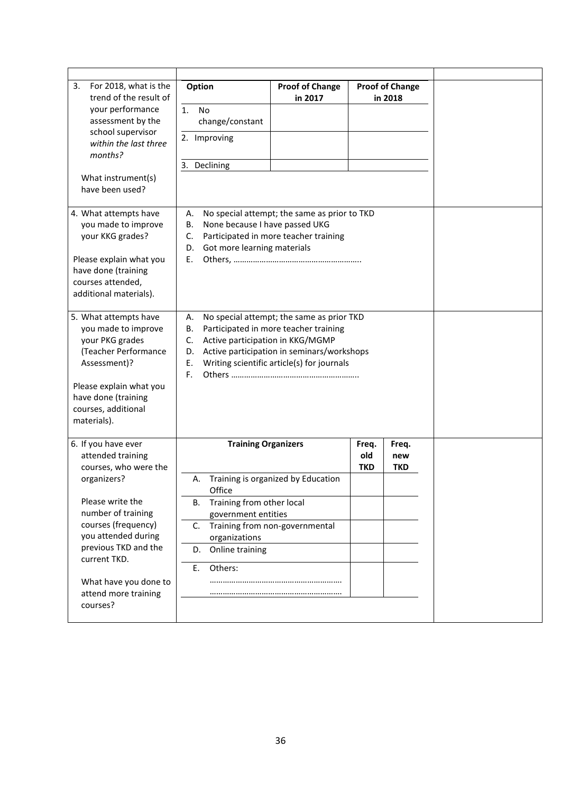| For 2018, what is the<br>3.             | Option                                                 | <b>Proof of Change</b>                       |            | <b>Proof of Change</b> |  |
|-----------------------------------------|--------------------------------------------------------|----------------------------------------------|------------|------------------------|--|
| trend of the result of                  |                                                        | in 2017                                      |            | in 2018                |  |
| your performance                        | <b>No</b><br>1.                                        |                                              |            |                        |  |
| assessment by the                       | change/constant                                        |                                              |            |                        |  |
| school supervisor                       | 2. Improving                                           |                                              |            |                        |  |
| within the last three                   |                                                        |                                              |            |                        |  |
| months?                                 |                                                        |                                              |            |                        |  |
|                                         | 3. Declining                                           |                                              |            |                        |  |
| What instrument(s)                      |                                                        |                                              |            |                        |  |
| have been used?                         |                                                        |                                              |            |                        |  |
|                                         |                                                        |                                              |            |                        |  |
| 4. What attempts have                   | А.                                                     | No special attempt; the same as prior to TKD |            |                        |  |
| you made to improve<br>your KKG grades? | None because I have passed UKG<br>В.                   | Participated in more teacher training        |            |                        |  |
|                                         | C.<br>Got more learning materials                      |                                              |            |                        |  |
| Please explain what you                 | D.<br>Е.                                               |                                              |            |                        |  |
| have done (training                     |                                                        |                                              |            |                        |  |
| courses attended,                       |                                                        |                                              |            |                        |  |
| additional materials).                  |                                                        |                                              |            |                        |  |
|                                         |                                                        |                                              |            |                        |  |
| 5. What attempts have                   | А.                                                     | No special attempt; the same as prior TKD    |            |                        |  |
| you made to improve                     | Participated in more teacher training<br>В.            |                                              |            |                        |  |
| your PKG grades                         | Active participation in KKG/MGMP<br>C.                 |                                              |            |                        |  |
| (Teacher Performance                    | Active participation in seminars/workshops<br>D.       |                                              |            |                        |  |
| Assessment)?                            | Writing scientific article(s) for journals<br>Ε.       |                                              |            |                        |  |
|                                         | F.                                                     |                                              |            |                        |  |
| Please explain what you                 |                                                        |                                              |            |                        |  |
| have done (training                     |                                                        |                                              |            |                        |  |
| courses, additional                     |                                                        |                                              |            |                        |  |
| materials).                             |                                                        |                                              |            |                        |  |
|                                         |                                                        |                                              |            |                        |  |
| 6. If you have ever                     | <b>Training Organizers</b>                             |                                              | Freq.      | Freq.                  |  |
| attended training                       |                                                        |                                              | old        | new                    |  |
| courses, who were the                   |                                                        |                                              | <b>TKD</b> | <b>TKD</b>             |  |
| organizers?                             | А.                                                     | Training is organized by Education           |            |                        |  |
| Please write the                        | Office                                                 |                                              |            |                        |  |
| number of training                      | Training from other local<br>В.<br>government entities |                                              |            |                        |  |
| courses (frequency)                     | $C_{\cdot}$                                            | Training from non-governmental               |            |                        |  |
| you attended during                     | organizations                                          |                                              |            |                        |  |
| previous TKD and the                    | Online training<br>D.                                  |                                              |            |                        |  |
| current TKD.                            |                                                        |                                              |            |                        |  |
|                                         | Ε.<br>Others:                                          |                                              |            |                        |  |
| What have you done to                   |                                                        |                                              |            |                        |  |
| attend more training                    |                                                        |                                              |            |                        |  |
| courses?                                |                                                        |                                              |            |                        |  |
|                                         |                                                        |                                              |            |                        |  |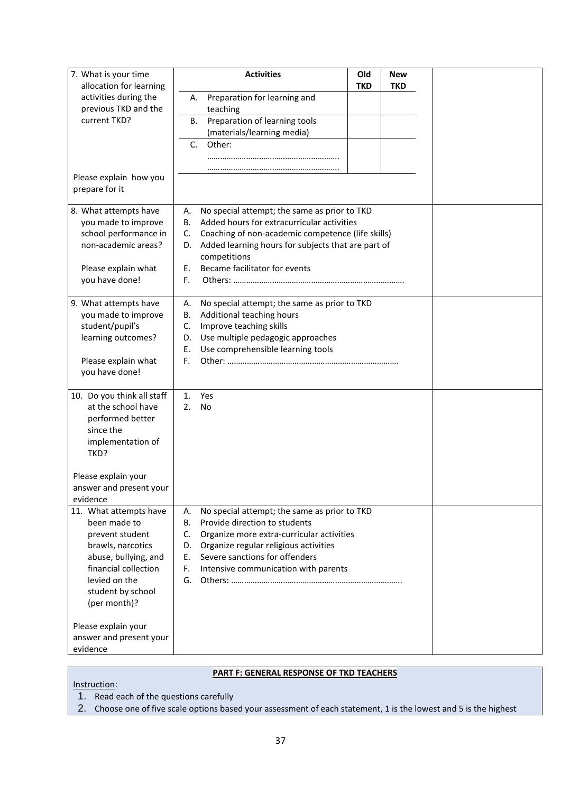| 7. What is your time       | <b>Activities</b>                                        | Old                                                          | <b>New</b> |  |  |
|----------------------------|----------------------------------------------------------|--------------------------------------------------------------|------------|--|--|
| allocation for learning    |                                                          | <b>TKD</b>                                                   | <b>TKD</b> |  |  |
| activities during the      | Preparation for learning and<br>А.                       |                                                              |            |  |  |
| previous TKD and the       | teaching                                                 |                                                              |            |  |  |
| current TKD?               | Preparation of learning tools<br>В.                      |                                                              |            |  |  |
|                            | (materials/learning media)                               |                                                              |            |  |  |
|                            | Other:<br>C.                                             |                                                              |            |  |  |
|                            |                                                          |                                                              |            |  |  |
|                            |                                                          |                                                              |            |  |  |
| Please explain how you     |                                                          |                                                              |            |  |  |
| prepare for it             |                                                          |                                                              |            |  |  |
|                            |                                                          |                                                              |            |  |  |
| 8. What attempts have      | No special attempt; the same as prior to TKD<br>А.       |                                                              |            |  |  |
| you made to improve        | Added hours for extracurricular activities<br>В.         |                                                              |            |  |  |
| school performance in      | Coaching of non-academic competence (life skills)<br>C.  |                                                              |            |  |  |
| non-academic areas?        | Added learning hours for subjects that are part of<br>D. |                                                              |            |  |  |
|                            |                                                          |                                                              |            |  |  |
|                            | competitions<br>Became facilitator for events<br>E.      |                                                              |            |  |  |
| Please explain what        |                                                          |                                                              |            |  |  |
| you have done!             | F.                                                       |                                                              |            |  |  |
|                            |                                                          |                                                              |            |  |  |
| 9. What attempts have      | No special attempt; the same as prior to TKD<br>Α.       |                                                              |            |  |  |
| you made to improve        | Additional teaching hours<br>В.                          |                                                              |            |  |  |
| student/pupil's            | C.                                                       | Improve teaching skills<br>Use multiple pedagogic approaches |            |  |  |
| learning outcomes?         | D.                                                       |                                                              |            |  |  |
|                            | Ε.                                                       | Use comprehensible learning tools                            |            |  |  |
| Please explain what        | F.                                                       |                                                              |            |  |  |
| you have done!             |                                                          |                                                              |            |  |  |
|                            |                                                          |                                                              |            |  |  |
| 10. Do you think all staff | Yes<br>1.                                                |                                                              |            |  |  |
| at the school have         | <b>No</b><br>2.                                          |                                                              |            |  |  |
| performed better           |                                                          |                                                              |            |  |  |
| since the                  |                                                          |                                                              |            |  |  |
| implementation of          |                                                          |                                                              |            |  |  |
| TKD?                       |                                                          |                                                              |            |  |  |
|                            |                                                          |                                                              |            |  |  |
| Please explain your        |                                                          |                                                              |            |  |  |
| answer and present your    |                                                          |                                                              |            |  |  |
| evidence                   |                                                          |                                                              |            |  |  |
| 11. What attempts have     | No special attempt; the same as prior to TKD<br>А.       |                                                              |            |  |  |
| been made to               | Provide direction to students<br>В.                      |                                                              |            |  |  |
| prevent student            | Organize more extra-curricular activities<br>C.          |                                                              |            |  |  |
| brawls, narcotics          | Organize regular religious activities<br>D.              |                                                              |            |  |  |
| abuse, bullying, and       | Severe sanctions for offenders<br>Ε.                     |                                                              |            |  |  |
| financial collection       | Intensive communication with parents<br>F.               |                                                              |            |  |  |
| levied on the              | G.                                                       |                                                              |            |  |  |
|                            |                                                          |                                                              |            |  |  |
| student by school          |                                                          |                                                              |            |  |  |
| (per month)?               |                                                          |                                                              |            |  |  |
|                            |                                                          |                                                              |            |  |  |
| Please explain your        |                                                          |                                                              |            |  |  |
| answer and present your    |                                                          |                                                              |            |  |  |
| evidence                   |                                                          |                                                              |            |  |  |

### **PART F: GENERAL RESPONSE OF TKD TEACHERS**

Instruction:

#### 1. Read each of the questions carefully

2. Choose one of five scale options based your assessment of each statement, 1 is the lowest and 5 is the highest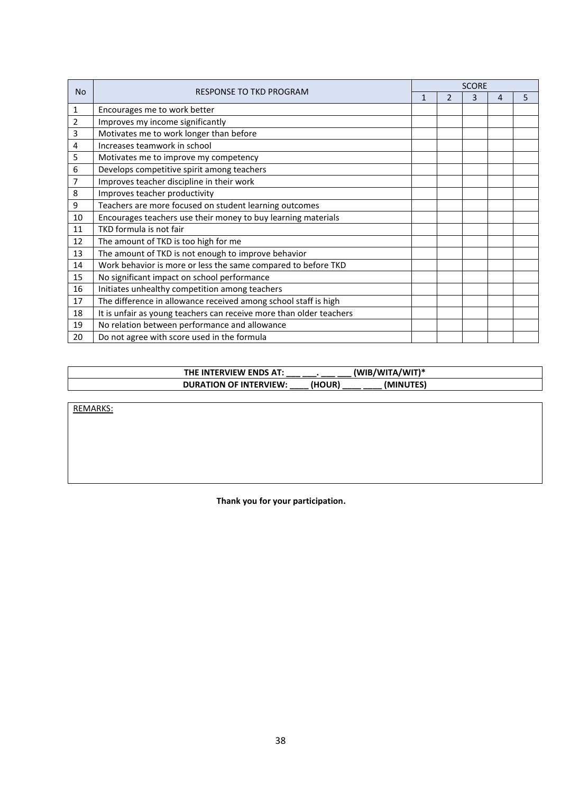|    | <b>No</b><br><b>RESPONSE TO TKD PROGRAM</b>                         |  |               | <b>SCORE</b> |   |   |  |  |  |
|----|---------------------------------------------------------------------|--|---------------|--------------|---|---|--|--|--|
|    |                                                                     |  | $\mathcal{P}$ | 3            | 4 | 5 |  |  |  |
| 1  | Encourages me to work better                                        |  |               |              |   |   |  |  |  |
| 2  | Improves my income significantly                                    |  |               |              |   |   |  |  |  |
| 3  | Motivates me to work longer than before                             |  |               |              |   |   |  |  |  |
| 4  | Increases teamwork in school                                        |  |               |              |   |   |  |  |  |
| 5  | Motivates me to improve my competency                               |  |               |              |   |   |  |  |  |
| 6  | Develops competitive spirit among teachers                          |  |               |              |   |   |  |  |  |
| 7  | Improves teacher discipline in their work                           |  |               |              |   |   |  |  |  |
| 8  | Improves teacher productivity                                       |  |               |              |   |   |  |  |  |
| 9  | Teachers are more focused on student learning outcomes              |  |               |              |   |   |  |  |  |
| 10 | Encourages teachers use their money to buy learning materials       |  |               |              |   |   |  |  |  |
| 11 | TKD formula is not fair                                             |  |               |              |   |   |  |  |  |
| 12 | The amount of TKD is too high for me                                |  |               |              |   |   |  |  |  |
| 13 | The amount of TKD is not enough to improve behavior                 |  |               |              |   |   |  |  |  |
| 14 | Work behavior is more or less the same compared to before TKD       |  |               |              |   |   |  |  |  |
| 15 | No significant impact on school performance                         |  |               |              |   |   |  |  |  |
| 16 | Initiates unhealthy competition among teachers                      |  |               |              |   |   |  |  |  |
| 17 | The difference in allowance received among school staff is high     |  |               |              |   |   |  |  |  |
| 18 | It is unfair as young teachers can receive more than older teachers |  |               |              |   |   |  |  |  |
| 19 | No relation between performance and allowance                       |  |               |              |   |   |  |  |  |
| 20 | Do not agree with score used in the formula                         |  |               |              |   |   |  |  |  |

| $JW$ IT)*<br><b>TERVIEW</b><br>IN.<br><b>FNDS</b><br>WIB<br><br>THE<br>/WI<br>1 I A<br>___   |  |
|----------------------------------------------------------------------------------------------|--|
| <b>HOUR</b><br>(MINUTES)<br><b>TERVIEW:</b><br><b>OF</b><br><b>DURAT</b><br>IN.<br>ΠΟΝ<br>__ |  |

REMARKS:

**Thank you for your participation.**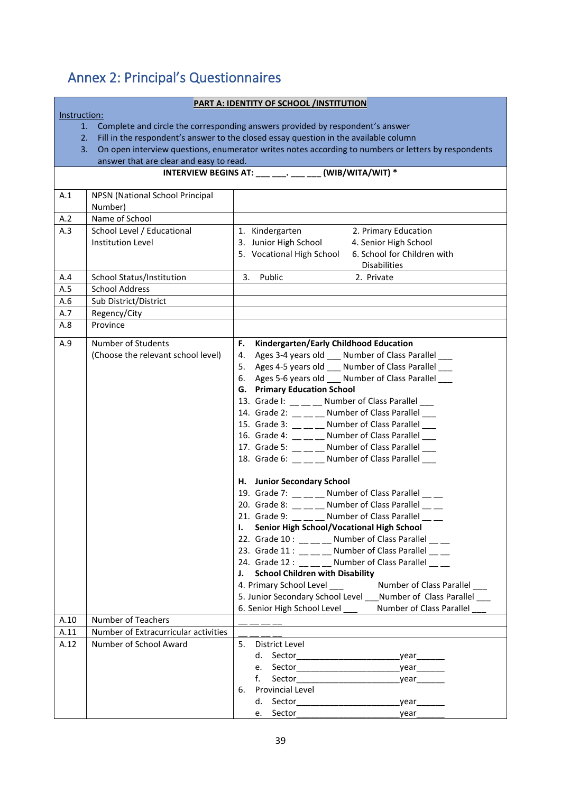## <span id="page-38-0"></span>Annex 2: Principal's Questionnaires

#### **PART A: IDENTITY OF SCHOOL /INSTITUTION**

#### Instruction:

- 1. Complete and circle the corresponding answers provided by respondent's answer
- 2. Fill in the respondent's answer to the closed essay question in the available column
- 3. On open interview questions, enumerator writes notes according to numbers or letters by respondents answer that are clear and easy to read.

#### **INTERVIEW BEGINS AT: \_\_\_ \_\_\_. \_\_\_ \_\_\_ (WIB/WITA/WIT) \***

| A.1  | NPSN (National School Principal      |                                                                                                                                                                                                                                        |
|------|--------------------------------------|----------------------------------------------------------------------------------------------------------------------------------------------------------------------------------------------------------------------------------------|
|      | Number)                              |                                                                                                                                                                                                                                        |
| A.2  | Name of School                       |                                                                                                                                                                                                                                        |
| A.3  | School Level / Educational           | 1. Kindergarten<br>2. Primary Education                                                                                                                                                                                                |
|      | <b>Institution Level</b>             | 3. Junior High School<br>4. Senior High School                                                                                                                                                                                         |
|      |                                      | 5. Vocational High School<br>6. School for Children with                                                                                                                                                                               |
|      |                                      | <b>Disabilities</b>                                                                                                                                                                                                                    |
| A.4  | School Status/Institution            | 3. Public<br>2. Private                                                                                                                                                                                                                |
| A.5  | <b>School Address</b>                |                                                                                                                                                                                                                                        |
| A.6  | Sub District/District                |                                                                                                                                                                                                                                        |
| A.7  | Regency/City                         |                                                                                                                                                                                                                                        |
| A.8  | Province                             |                                                                                                                                                                                                                                        |
| A.9  | Number of Students                   | F. Kindergarten/Early Childhood Education                                                                                                                                                                                              |
|      | (Choose the relevant school level)   | 4. Ages 3-4 years old ___ Number of Class Parallel ___                                                                                                                                                                                 |
|      |                                      | 5. Ages 4-5 years old ___ Number of Class Parallel ___                                                                                                                                                                                 |
|      |                                      | 6. Ages 5-6 years old ___ Number of Class Parallel ___                                                                                                                                                                                 |
|      |                                      | <b>G.</b> Primary Education School                                                                                                                                                                                                     |
|      |                                      | 13. Grade I: __ _ _ Number of Class Parallel ___                                                                                                                                                                                       |
|      |                                      | 14. Grade 2: __ __ __ Number of Class Parallel ___                                                                                                                                                                                     |
|      |                                      | 15. Grade 3: __ __ __ Number of Class Parallel ___                                                                                                                                                                                     |
|      |                                      | 16. Grade 4: __ __ __ Number of Class Parallel ___                                                                                                                                                                                     |
|      |                                      | 17. Grade 5: __ __ __ Number of Class Parallel ___                                                                                                                                                                                     |
|      |                                      | 18. Grade 6: __ __ __ Number of Class Parallel ___                                                                                                                                                                                     |
|      |                                      | H. Junior Secondary School                                                                                                                                                                                                             |
|      |                                      | 19. Grade 7: __ __ __ Number of Class Parallel __ __                                                                                                                                                                                   |
|      |                                      | 20. Grade 8: __ __ __ Number of Class Parallel __ __                                                                                                                                                                                   |
|      |                                      | 21. Grade 9: __ __ _ Number of Class Parallel __ _                                                                                                                                                                                     |
|      |                                      | <b>Senior High School/Vocational High School</b>                                                                                                                                                                                       |
|      |                                      | 22. Grade 10: __ __ _ Number of Class Parallel __ _                                                                                                                                                                                    |
|      |                                      | 23. Grade 11: __ __ __ Number of Class Parallel __ __                                                                                                                                                                                  |
|      |                                      | 24. Grade 12 : __ __ __ Number of Class Parallel __ __                                                                                                                                                                                 |
|      |                                      | J. School Children with Disability                                                                                                                                                                                                     |
|      |                                      |                                                                                                                                                                                                                                        |
|      |                                      | 5. Junior Secondary School Level ___ Number of Class Parallel ___                                                                                                                                                                      |
|      |                                      |                                                                                                                                                                                                                                        |
| A.10 | Number of Teachers                   |                                                                                                                                                                                                                                        |
| A.11 | Number of Extracurricular activities |                                                                                                                                                                                                                                        |
| A.12 | Number of School Award               | 5. District Level                                                                                                                                                                                                                      |
|      |                                      | $year_{\_\_\_\_\_\_\_}$                                                                                                                                                                                                                |
|      |                                      | e. Sector the control of the control of the control of the control of the control of the control of the control of the control of the control of the control of the control of the control of the control of the control of th<br>vear |
|      |                                      | f.<br>Sector <b>Section</b> Section <b>Section</b><br>year                                                                                                                                                                             |
|      |                                      | <b>Provincial Level</b><br>6.                                                                                                                                                                                                          |
|      |                                      | year                                                                                                                                                                                                                                   |
|      |                                      | e. Sector<br>year                                                                                                                                                                                                                      |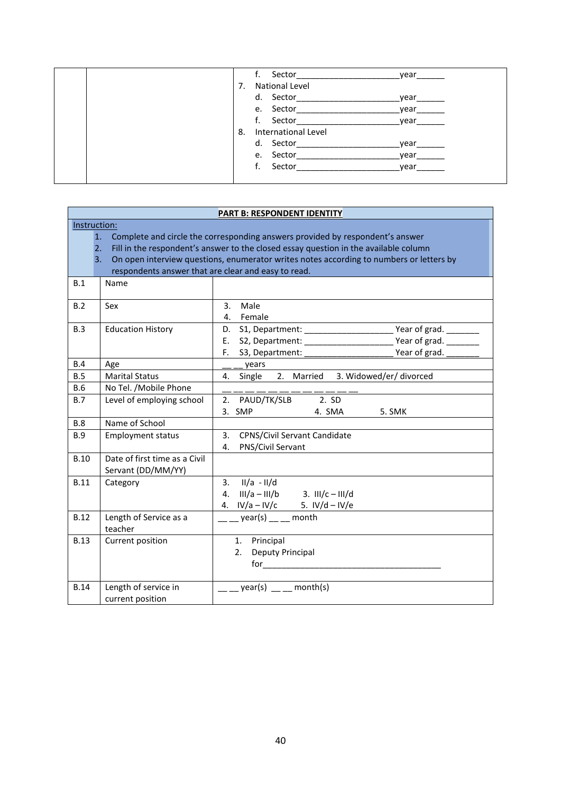| Sector<br>f.                     | year |
|----------------------------------|------|
| <b>National Level</b><br>7.      |      |
| d. Sector                        | vear |
| e. Sector                        | vear |
| f. Sector                        | vear |
| <b>International Level</b><br>8. |      |
| d. Sector                        | vear |
| Sector<br>e.                     | vear |
| f. Sector                        | vear |
|                                  |      |

|              | PART B: RESPONDENT IDENTITY                         |                                                                                                                                                                                                                                                                                                                                                                                                                                                               |  |  |
|--------------|-----------------------------------------------------|---------------------------------------------------------------------------------------------------------------------------------------------------------------------------------------------------------------------------------------------------------------------------------------------------------------------------------------------------------------------------------------------------------------------------------------------------------------|--|--|
| Instruction: | 1.<br>2.                                            | Complete and circle the corresponding answers provided by respondent's answer<br>Fill in the respondent's answer to the closed essay question in the available column                                                                                                                                                                                                                                                                                         |  |  |
|              | 3.                                                  | On open interview questions, enumerator writes notes according to numbers or letters by                                                                                                                                                                                                                                                                                                                                                                       |  |  |
|              | respondents answer that are clear and easy to read. |                                                                                                                                                                                                                                                                                                                                                                                                                                                               |  |  |
| B.1          | Name                                                |                                                                                                                                                                                                                                                                                                                                                                                                                                                               |  |  |
| B.2          | Sex                                                 | Male<br>3.<br>4. Female                                                                                                                                                                                                                                                                                                                                                                                                                                       |  |  |
| B.3          | <b>Education History</b>                            |                                                                                                                                                                                                                                                                                                                                                                                                                                                               |  |  |
|              |                                                     | Ε.                                                                                                                                                                                                                                                                                                                                                                                                                                                            |  |  |
|              |                                                     |                                                                                                                                                                                                                                                                                                                                                                                                                                                               |  |  |
| <b>B.4</b>   | Age                                                 | years                                                                                                                                                                                                                                                                                                                                                                                                                                                         |  |  |
| B.5          | <b>Marital Status</b>                               | 2. Married 3. Widowed/er/ divorced<br>4. Single                                                                                                                                                                                                                                                                                                                                                                                                               |  |  |
| <b>B.6</b>   | No Tel. /Mobile Phone                               |                                                                                                                                                                                                                                                                                                                                                                                                                                                               |  |  |
| B.7          | Level of employing school                           | 2. PAUD/TK/SLB 2. SD<br>3. SMP 4. SMA<br>5. SMK                                                                                                                                                                                                                                                                                                                                                                                                               |  |  |
| B.8          | Name of School                                      |                                                                                                                                                                                                                                                                                                                                                                                                                                                               |  |  |
| <b>B.9</b>   | <b>Employment status</b>                            | CPNS/Civil Servant Candidate<br>3.<br>PNS/Civil Servant<br>4.                                                                                                                                                                                                                                                                                                                                                                                                 |  |  |
| <b>B.10</b>  | Date of first time as a Civil<br>Servant (DD/MM/YY) |                                                                                                                                                                                                                                                                                                                                                                                                                                                               |  |  |
| <b>B.11</b>  | Category                                            | 3. $II/a - II/d$<br>4. $III/a - III/b$ 3. $III/c - III/d$<br>4. $\frac{1}{2} = \frac{1}{2} = \frac{1}{2} = \frac{5}{2} = \frac{1}{2} = \frac{1}{2} = \frac{1}{2} = \frac{1}{2} = \frac{1}{2} = \frac{1}{2} = \frac{1}{2} = \frac{1}{2} = \frac{1}{2} = \frac{1}{2} = \frac{1}{2} = \frac{1}{2} = \frac{1}{2} = \frac{1}{2} = \frac{1}{2} = \frac{1}{2} = \frac{1}{2} = \frac{1}{2} = \frac{1}{2} = \frac{1}{2} = \frac{1}{2} = \frac{1}{2} = \frac{1}{2} = \$ |  |  |
| <b>B.12</b>  | Length of Service as a<br>teacher                   | year(s) month                                                                                                                                                                                                                                                                                                                                                                                                                                                 |  |  |
| <b>B.13</b>  | Current position                                    | 1. Principal<br>Deputy Principal<br>2.                                                                                                                                                                                                                                                                                                                                                                                                                        |  |  |
| <b>B.14</b>  | Length of service in<br>current position            | $year(s)$ month(s)                                                                                                                                                                                                                                                                                                                                                                                                                                            |  |  |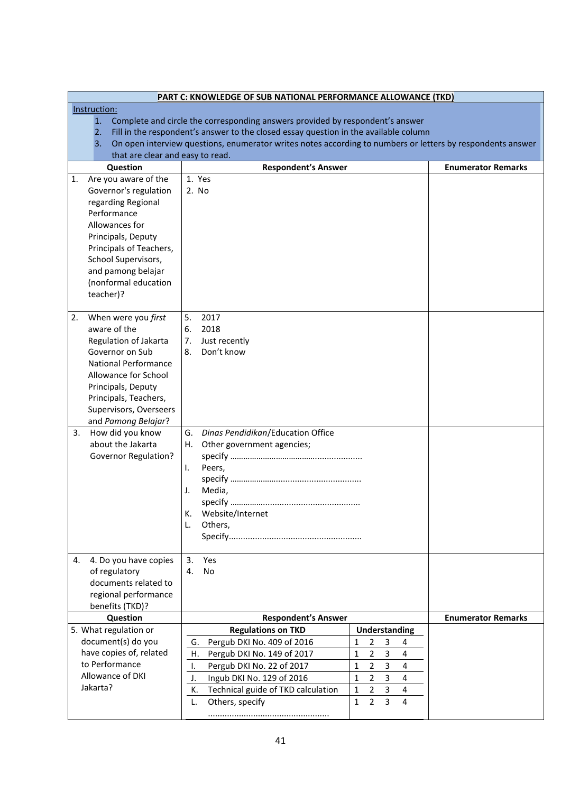| PART C: KNOWLEDGE OF SUB NATIONAL PERFORMANCE ALLOWANCE (TKD) |                                                                                                            |                                          |                           |  |  |
|---------------------------------------------------------------|------------------------------------------------------------------------------------------------------------|------------------------------------------|---------------------------|--|--|
| Instruction:                                                  |                                                                                                            |                                          |                           |  |  |
| 1.                                                            | Complete and circle the corresponding answers provided by respondent's answer                              |                                          |                           |  |  |
| 2.                                                            | Fill in the respondent's answer to the closed essay question in the available column                       |                                          |                           |  |  |
| 3.                                                            | On open interview questions, enumerator writes notes according to numbers or letters by respondents answer |                                          |                           |  |  |
| that are clear and easy to read.                              |                                                                                                            |                                          |                           |  |  |
| Question                                                      | <b>Respondent's Answer</b>                                                                                 |                                          | <b>Enumerator Remarks</b> |  |  |
| Are you aware of the<br>1.                                    | 1. Yes                                                                                                     |                                          |                           |  |  |
| Governor's regulation                                         | 2. No                                                                                                      |                                          |                           |  |  |
| regarding Regional                                            |                                                                                                            |                                          |                           |  |  |
| Performance                                                   |                                                                                                            |                                          |                           |  |  |
| Allowances for                                                |                                                                                                            |                                          |                           |  |  |
| Principals, Deputy                                            |                                                                                                            |                                          |                           |  |  |
| Principals of Teachers,                                       |                                                                                                            |                                          |                           |  |  |
| School Supervisors,                                           |                                                                                                            |                                          |                           |  |  |
| and pamong belajar                                            |                                                                                                            |                                          |                           |  |  |
| (nonformal education                                          |                                                                                                            |                                          |                           |  |  |
| teacher)?                                                     |                                                                                                            |                                          |                           |  |  |
|                                                               |                                                                                                            |                                          |                           |  |  |
| When were you first<br>2.                                     | 5.<br>2017                                                                                                 |                                          |                           |  |  |
| aware of the                                                  | 2018<br>6.                                                                                                 |                                          |                           |  |  |
| Regulation of Jakarta                                         | 7.<br>Just recently                                                                                        |                                          |                           |  |  |
| Governor on Sub                                               | Don't know<br>8.                                                                                           |                                          |                           |  |  |
| <b>National Performance</b>                                   |                                                                                                            |                                          |                           |  |  |
| Allowance for School                                          |                                                                                                            |                                          |                           |  |  |
| Principals, Deputy                                            |                                                                                                            |                                          |                           |  |  |
| Principals, Teachers,                                         |                                                                                                            |                                          |                           |  |  |
| Supervisors, Overseers                                        |                                                                                                            |                                          |                           |  |  |
| and Pamong Belajar?                                           |                                                                                                            |                                          |                           |  |  |
| How did you know<br>3.                                        | Dinas Pendidikan/Education Office<br>G.                                                                    |                                          |                           |  |  |
| about the Jakarta                                             | Other government agencies;<br>Н.                                                                           |                                          |                           |  |  |
| <b>Governor Regulation?</b>                                   |                                                                                                            |                                          |                           |  |  |
|                                                               | Peers,<br>I.                                                                                               |                                          |                           |  |  |
|                                                               |                                                                                                            |                                          |                           |  |  |
|                                                               | Media,<br>J.                                                                                               |                                          |                           |  |  |
|                                                               |                                                                                                            |                                          |                           |  |  |
|                                                               | K. Website/Internet                                                                                        |                                          |                           |  |  |
|                                                               | Others,<br>L.                                                                                              |                                          |                           |  |  |
|                                                               |                                                                                                            |                                          |                           |  |  |
| 4. Do you have copies<br>4.                                   | 3.<br>Yes                                                                                                  |                                          |                           |  |  |
| of regulatory                                                 | 4.<br>No                                                                                                   |                                          |                           |  |  |
| documents related to                                          |                                                                                                            |                                          |                           |  |  |
| regional performance                                          |                                                                                                            |                                          |                           |  |  |
| benefits (TKD)?                                               |                                                                                                            |                                          |                           |  |  |
| Question                                                      | <b>Respondent's Answer</b>                                                                                 |                                          | <b>Enumerator Remarks</b> |  |  |
| 5. What regulation or                                         | <b>Regulations on TKD</b>                                                                                  | <b>Understanding</b>                     |                           |  |  |
| document(s) do you                                            | Pergub DKI No. 409 of 2016<br>G.                                                                           | 2<br>3<br>4<br>1                         |                           |  |  |
| have copies of, related                                       | Pergub DKI No. 149 of 2017<br>Η.                                                                           | $\overline{2}$<br>3<br>4<br>1            |                           |  |  |
| to Performance                                                | Pergub DKI No. 22 of 2017<br>Ι.                                                                            | 3<br>2<br>4<br>1                         |                           |  |  |
| Allowance of DKI                                              | Ingub DKI No. 129 of 2016<br>J.                                                                            | 3<br>$\overline{4}$<br>1<br>2            |                           |  |  |
| Jakarta?                                                      | Technical guide of TKD calculation<br>К.                                                                   | 3<br>$\overline{2}$<br>1<br>4            |                           |  |  |
|                                                               | Others, specify<br>L.                                                                                      | 3<br>$\mathbf{1}$<br>$\overline{2}$<br>4 |                           |  |  |
|                                                               |                                                                                                            |                                          |                           |  |  |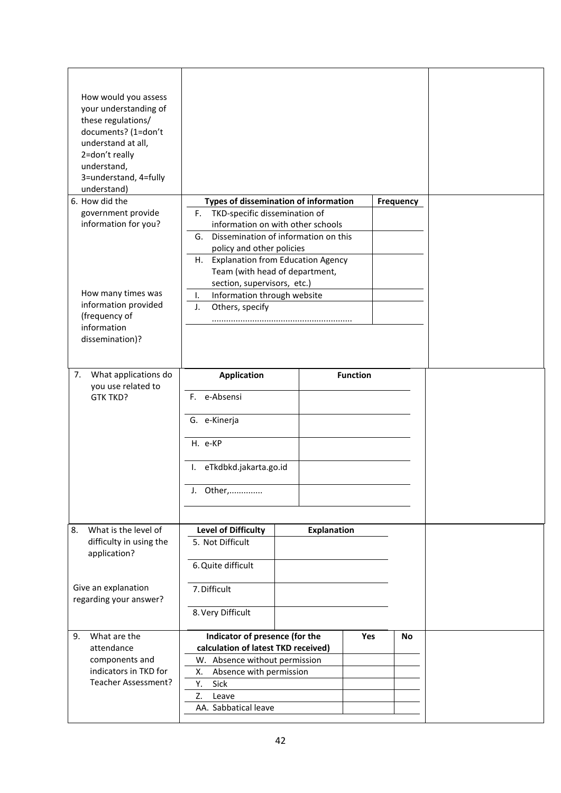| How would you assess<br>your understanding of<br>these regulations/<br>documents? (1=don't<br>understand at all,<br>2=don't really<br>understand,<br>3=understand, 4=fully<br>understand)<br>6. How did the<br>government provide<br>information for you? | Types of dissemination of information<br>TKD-specific dissemination of<br>F.<br>information on with other schools<br>Dissemination of information on this<br>G.<br>policy and other policies<br>H. Explanation from Education Agency<br>Team (with head of department, |                    |                 | <b>Frequency</b> |  |
|-----------------------------------------------------------------------------------------------------------------------------------------------------------------------------------------------------------------------------------------------------------|------------------------------------------------------------------------------------------------------------------------------------------------------------------------------------------------------------------------------------------------------------------------|--------------------|-----------------|------------------|--|
| How many times was<br>information provided<br>(frequency of<br>information<br>dissemination)?                                                                                                                                                             | section, supervisors, etc.)<br>Information through website<br>I.<br>Others, specify<br>J.                                                                                                                                                                              |                    |                 |                  |  |
| What applications do<br>7.<br>you use related to<br><b>GTK TKD?</b>                                                                                                                                                                                       | <b>Application</b><br>F. e-Absensi<br>G. e-Kinerja<br>H. e-KP<br>I. eTkdbkd.jakarta.go.id<br>J. Other,                                                                                                                                                                 |                    | <b>Function</b> |                  |  |
| What is the level of<br>8.<br>difficulty in using the<br>application?<br>Give an explanation<br>regarding your answer?                                                                                                                                    | <b>Level of Difficulty</b><br>5. Not Difficult<br>6. Quite difficult<br>7. Difficult<br>8. Very Difficult                                                                                                                                                              | <b>Explanation</b> |                 |                  |  |
| What are the<br>9.<br>attendance<br>components and<br>indicators in TKD for<br>Teacher Assessment?                                                                                                                                                        | Indicator of presence (for the<br>calculation of latest TKD received)<br>W. Absence without permission<br>Absence with permission<br>Х.<br>Sick<br>Υ.<br>Z.<br>Leave<br>AA. Sabbatical leave                                                                           |                    | Yes             | No               |  |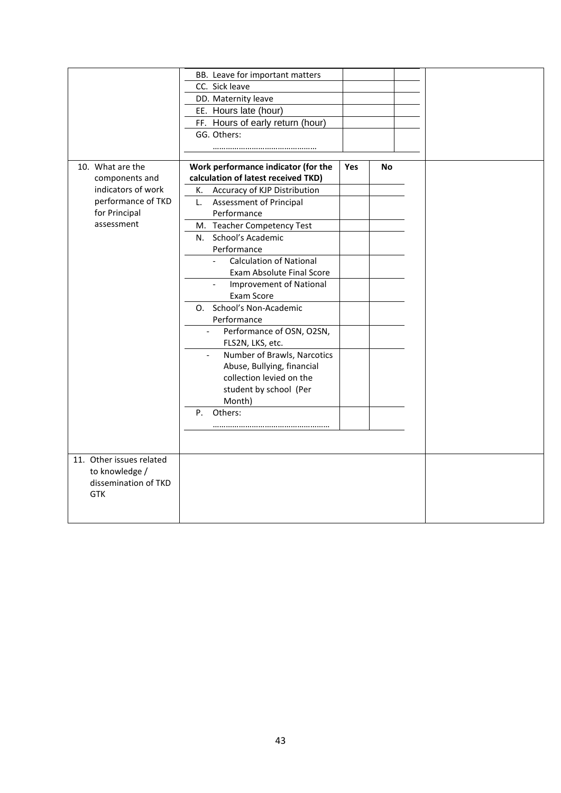|                          | BB. Leave for important matters                            |     |    |  |
|--------------------------|------------------------------------------------------------|-----|----|--|
|                          | CC. Sick leave                                             |     |    |  |
|                          | DD. Maternity leave                                        |     |    |  |
|                          | EE. Hours late (hour)                                      |     |    |  |
|                          | FF. Hours of early return (hour)                           |     |    |  |
|                          | GG. Others:                                                |     |    |  |
|                          |                                                            |     |    |  |
|                          |                                                            |     |    |  |
| 10. What are the         | Work performance indicator (for the                        | Yes | No |  |
| components and           | calculation of latest received TKD)                        |     |    |  |
| indicators of work       | Accuracy of KJP Distribution<br>К.                         |     |    |  |
| performance of TKD       | Assessment of Principal<br>L.                              |     |    |  |
| for Principal            | Performance                                                |     |    |  |
| assessment               | M. Teacher Competency Test                                 |     |    |  |
|                          | N. School's Academic                                       |     |    |  |
|                          | Performance                                                |     |    |  |
|                          | <b>Calculation of National</b>                             |     |    |  |
|                          | Exam Absolute Final Score                                  |     |    |  |
|                          | <b>Improvement of National</b><br>$\overline{\phantom{a}}$ |     |    |  |
|                          | Exam Score                                                 |     |    |  |
|                          | O. School's Non-Academic                                   |     |    |  |
|                          | Performance                                                |     |    |  |
|                          | Performance of OSN, O2SN,<br>$\mathbb{L}^{\mathbb{Z}}$     |     |    |  |
|                          | FLS2N, LKS, etc.                                           |     |    |  |
|                          | Number of Brawls, Narcotics<br>$\blacksquare$              |     |    |  |
|                          | Abuse, Bullying, financial                                 |     |    |  |
|                          | collection levied on the                                   |     |    |  |
|                          | student by school (Per                                     |     |    |  |
|                          | Month)                                                     |     |    |  |
|                          | P.<br>Others:                                              |     |    |  |
|                          |                                                            |     |    |  |
|                          |                                                            |     |    |  |
|                          |                                                            |     |    |  |
| 11. Other issues related |                                                            |     |    |  |
| to knowledge /           |                                                            |     |    |  |
| dissemination of TKD     |                                                            |     |    |  |
| <b>GTK</b>               |                                                            |     |    |  |
|                          |                                                            |     |    |  |
|                          |                                                            |     |    |  |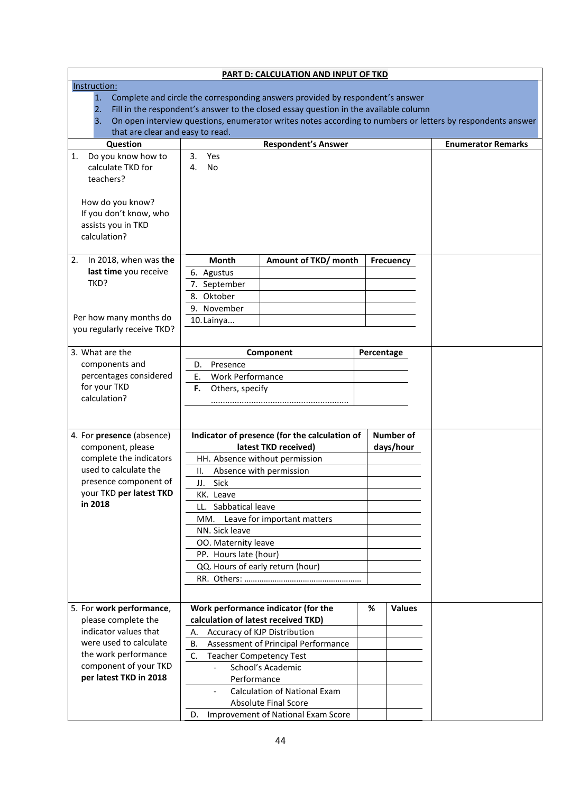| PART D: CALCULATION AND INPUT OF TKD                                                                                                           |                                                                       |                                                                                                                                                                       |            |                               |                                                                                                            |
|------------------------------------------------------------------------------------------------------------------------------------------------|-----------------------------------------------------------------------|-----------------------------------------------------------------------------------------------------------------------------------------------------------------------|------------|-------------------------------|------------------------------------------------------------------------------------------------------------|
| Instruction:<br>1.<br>2.<br>3.<br>that are clear and easy to read.                                                                             |                                                                       | Complete and circle the corresponding answers provided by respondent's answer<br>Fill in the respondent's answer to the closed essay question in the available column |            |                               | On open interview questions, enumerator writes notes according to numbers or letters by respondents answer |
| Question                                                                                                                                       |                                                                       | <b>Respondent's Answer</b>                                                                                                                                            |            |                               | <b>Enumerator Remarks</b>                                                                                  |
| Do you know how to<br>1.<br>calculate TKD for<br>teachers?<br>How do you know?<br>If you don't know, who<br>assists you in TKD<br>calculation? | 3.<br>Yes<br><b>No</b><br>4.                                          |                                                                                                                                                                       |            |                               |                                                                                                            |
| In 2018, when was the<br>2.                                                                                                                    | Month                                                                 | Amount of TKD/ month                                                                                                                                                  |            | Frecuency                     |                                                                                                            |
| last time you receive<br>TKD?<br>Per how many months do<br>you regularly receive TKD?                                                          | 6. Agustus<br>7. September<br>8. Oktober<br>9. November<br>10. Lainya |                                                                                                                                                                       |            |                               |                                                                                                            |
| 3. What are the                                                                                                                                |                                                                       | Component                                                                                                                                                             | Percentage |                               |                                                                                                            |
| components and                                                                                                                                 | Presence<br>D.                                                        |                                                                                                                                                                       |            |                               |                                                                                                            |
| percentages considered<br>for your TKD<br>calculation?                                                                                         | <b>Work Performance</b><br>Ε.<br>F.<br>Others, specify                |                                                                                                                                                                       |            |                               |                                                                                                            |
| 4. For presence (absence)<br>component, please                                                                                                 |                                                                       | Indicator of presence (for the calculation of<br>latest TKD received)                                                                                                 |            | <b>Number of</b><br>days/hour |                                                                                                            |
| complete the indicators                                                                                                                        |                                                                       | HH. Absence without permission                                                                                                                                        |            |                               |                                                                                                            |
| used to calculate the                                                                                                                          | Ш.                                                                    | Absence with permission                                                                                                                                               |            |                               |                                                                                                            |
| presence component of                                                                                                                          | JJ. Sick                                                              |                                                                                                                                                                       |            |                               |                                                                                                            |
| your TKD per latest TKD                                                                                                                        | KK. Leave                                                             |                                                                                                                                                                       |            |                               |                                                                                                            |
| in 2018                                                                                                                                        | Sabbatical leave<br>LL.                                               |                                                                                                                                                                       |            |                               |                                                                                                            |
|                                                                                                                                                |                                                                       | MM. Leave for important matters                                                                                                                                       |            |                               |                                                                                                            |
|                                                                                                                                                | NN. Sick leave                                                        |                                                                                                                                                                       |            |                               |                                                                                                            |
|                                                                                                                                                | OO. Maternity leave<br>PP. Hours late (hour)                          |                                                                                                                                                                       |            |                               |                                                                                                            |
|                                                                                                                                                |                                                                       | QQ. Hours of early return (hour)                                                                                                                                      |            |                               |                                                                                                            |
|                                                                                                                                                |                                                                       |                                                                                                                                                                       |            |                               |                                                                                                            |
|                                                                                                                                                |                                                                       |                                                                                                                                                                       |            |                               |                                                                                                            |
| 5. For work performance,                                                                                                                       |                                                                       | Work performance indicator (for the                                                                                                                                   | %          | <b>Values</b>                 |                                                                                                            |
| please complete the                                                                                                                            | calculation of latest received TKD)                                   |                                                                                                                                                                       |            |                               |                                                                                                            |
| indicator values that                                                                                                                          | А.                                                                    | Accuracy of KJP Distribution                                                                                                                                          |            |                               |                                                                                                            |
| were used to calculate                                                                                                                         | В.                                                                    | Assessment of Principal Performance                                                                                                                                   |            |                               |                                                                                                            |
| the work performance                                                                                                                           | C.                                                                    | <b>Teacher Competency Test</b>                                                                                                                                        |            |                               |                                                                                                            |
| component of your TKD                                                                                                                          |                                                                       | School's Academic                                                                                                                                                     |            |                               |                                                                                                            |
| per latest TKD in 2018                                                                                                                         | Performance                                                           |                                                                                                                                                                       |            |                               |                                                                                                            |
|                                                                                                                                                |                                                                       | <b>Calculation of National Exam</b>                                                                                                                                   |            |                               |                                                                                                            |
|                                                                                                                                                |                                                                       | <b>Absolute Final Score</b>                                                                                                                                           |            |                               |                                                                                                            |
|                                                                                                                                                |                                                                       | D. Improvement of National Exam Score                                                                                                                                 |            |                               |                                                                                                            |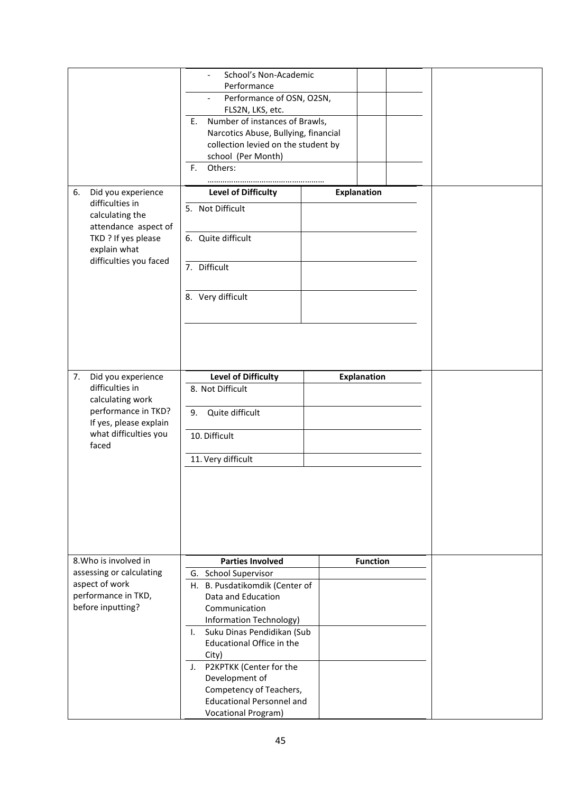|                                                                                                                                                         | School's Non-Academic<br>Performance<br>Performance of OSN, O2SN,<br>$\overline{\phantom{a}}$<br>FLS2N, LKS, etc.<br>Number of instances of Brawls,<br>Е.<br>Narcotics Abuse, Bullying, financial<br>collection levied on the student by<br>school (Per Month)<br>F.<br>Others:                                                                                                      |                    |  |
|---------------------------------------------------------------------------------------------------------------------------------------------------------|--------------------------------------------------------------------------------------------------------------------------------------------------------------------------------------------------------------------------------------------------------------------------------------------------------------------------------------------------------------------------------------|--------------------|--|
| Did you experience<br>6.<br>difficulties in<br>calculating the<br>attendance aspect of<br>TKD ? If yes please<br>explain what<br>difficulties you faced | <b>Level of Difficulty</b><br>5. Not Difficult<br>6. Quite difficult<br>7. Difficult<br>8. Very difficult                                                                                                                                                                                                                                                                            | <b>Explanation</b> |  |
| Did you experience<br>7.<br>difficulties in<br>calculating work<br>performance in TKD?<br>If yes, please explain<br>what difficulties you<br>faced      | <b>Level of Difficulty</b><br>8. Not Difficult<br>Quite difficult<br>9.<br>10. Difficult<br>11. Very difficult                                                                                                                                                                                                                                                                       | <b>Explanation</b> |  |
| 8. Who is involved in<br>assessing or calculating<br>aspect of work<br>performance in TKD,<br>before inputting?                                         | <b>Parties Involved</b><br>G. School Supervisor<br>H. B. Pusdatikomdik (Center of<br>Data and Education<br>Communication<br>Information Technology)<br>Suku Dinas Pendidikan (Sub<br>$\mathbf{L}$<br>Educational Office in the<br>City)<br>J. P2KPTKK (Center for the<br>Development of<br>Competency of Teachers,<br><b>Educational Personnel and</b><br><b>Vocational Program)</b> | <b>Function</b>    |  |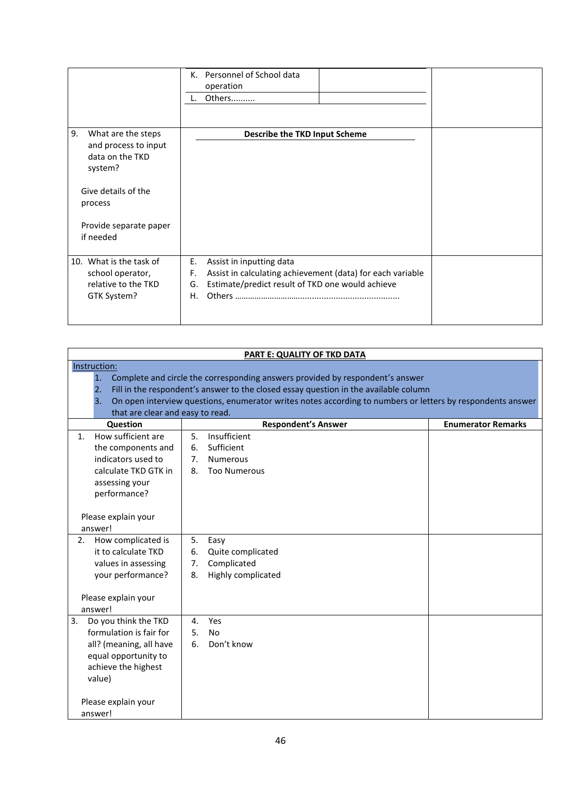|                          | Personnel of School data<br>К.<br>operation                      |  |
|--------------------------|------------------------------------------------------------------|--|
|                          | Others                                                           |  |
|                          |                                                                  |  |
| 9.<br>What are the steps | <b>Describe the TKD Input Scheme</b>                             |  |
| and process to input     |                                                                  |  |
| data on the TKD          |                                                                  |  |
| system?                  |                                                                  |  |
| Give details of the      |                                                                  |  |
| process                  |                                                                  |  |
|                          |                                                                  |  |
| Provide separate paper   |                                                                  |  |
| if needed                |                                                                  |  |
| 10. What is the task of  | Е.<br>Assist in inputting data                                   |  |
| school operator,         | Assist in calculating achievement (data) for each variable<br>F. |  |
| relative to the TKD      | Estimate/predict result of TKD one would achieve<br>G.           |  |
| GTK System?              | Η.                                                               |  |
|                          |                                                                  |  |
|                          |                                                                  |  |

|                                      | <b>PART E: QUALITY OF TKD DATA</b>                                                                         |                           |  |  |  |
|--------------------------------------|------------------------------------------------------------------------------------------------------------|---------------------------|--|--|--|
| Instruction:                         |                                                                                                            |                           |  |  |  |
| 1.                                   | Complete and circle the corresponding answers provided by respondent's answer                              |                           |  |  |  |
| 2.                                   | Fill in the respondent's answer to the closed essay question in the available column                       |                           |  |  |  |
| 3.                                   | On open interview questions, enumerator writes notes according to numbers or letters by respondents answer |                           |  |  |  |
| that are clear and easy to read.     |                                                                                                            |                           |  |  |  |
| Question                             | <b>Respondent's Answer</b>                                                                                 | <b>Enumerator Remarks</b> |  |  |  |
| How sufficient are<br>1 <sub>1</sub> | Insufficient<br>5.                                                                                         |                           |  |  |  |
| the components and                   | Sufficient<br>6.                                                                                           |                           |  |  |  |
| indicators used to                   | <b>Numerous</b><br>7.                                                                                      |                           |  |  |  |
| calculate TKD GTK in                 | 8.<br><b>Too Numerous</b>                                                                                  |                           |  |  |  |
| assessing your                       |                                                                                                            |                           |  |  |  |
| performance?                         |                                                                                                            |                           |  |  |  |
|                                      |                                                                                                            |                           |  |  |  |
| Please explain your                  |                                                                                                            |                           |  |  |  |
| answer!                              |                                                                                                            |                           |  |  |  |
| How complicated is<br>2.             | 5.<br>Easy                                                                                                 |                           |  |  |  |
| it to calculate TKD                  | Quite complicated<br>6.                                                                                    |                           |  |  |  |
| values in assessing                  | Complicated<br>7.                                                                                          |                           |  |  |  |
| your performance?                    | Highly complicated<br>8.                                                                                   |                           |  |  |  |
|                                      |                                                                                                            |                           |  |  |  |
| Please explain your                  |                                                                                                            |                           |  |  |  |
| answer!                              |                                                                                                            |                           |  |  |  |
| Do you think the TKD<br>3.           | Yes<br>4.                                                                                                  |                           |  |  |  |
| formulation is fair for              | 5.<br><b>No</b>                                                                                            |                           |  |  |  |
| all? (meaning, all have              | Don't know<br>6.                                                                                           |                           |  |  |  |
| equal opportunity to                 |                                                                                                            |                           |  |  |  |
| achieve the highest                  |                                                                                                            |                           |  |  |  |
| value)                               |                                                                                                            |                           |  |  |  |
|                                      |                                                                                                            |                           |  |  |  |
| Please explain your                  |                                                                                                            |                           |  |  |  |
| answer!                              |                                                                                                            |                           |  |  |  |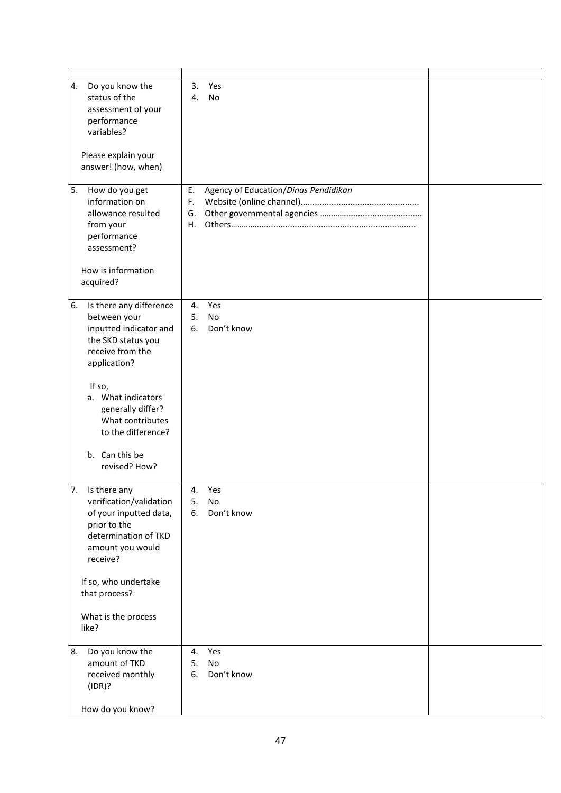| Do you know the<br>4.            | 3.<br>Yes                                  |  |
|----------------------------------|--------------------------------------------|--|
| status of the                    | 4.<br>No                                   |  |
| assessment of your               |                                            |  |
| performance                      |                                            |  |
| variables?                       |                                            |  |
|                                  |                                            |  |
| Please explain your              |                                            |  |
| answer! (how, when)              |                                            |  |
| 5.                               | E.<br>Agency of Education/Dinas Pendidikan |  |
| How do you get<br>information on | F.                                         |  |
| allowance resulted               | G.                                         |  |
| from your                        | H.                                         |  |
| performance                      |                                            |  |
| assessment?                      |                                            |  |
|                                  |                                            |  |
| How is information               |                                            |  |
| acquired?                        |                                            |  |
|                                  |                                            |  |
| Is there any difference<br>6.    | Yes<br>4.                                  |  |
| between your                     | 5.<br><b>No</b>                            |  |
| inputted indicator and           | 6.<br>Don't know                           |  |
| the SKD status you               |                                            |  |
| receive from the                 |                                            |  |
| application?                     |                                            |  |
|                                  |                                            |  |
| If so,                           |                                            |  |
| a. What indicators               |                                            |  |
| generally differ?                |                                            |  |
| What contributes                 |                                            |  |
| to the difference?               |                                            |  |
|                                  |                                            |  |
| b. Can this be                   |                                            |  |
| revised? How?                    |                                            |  |
|                                  |                                            |  |
| 7. Is there any                  | Yes<br>4.                                  |  |
| verification/validation          | 5.<br>No                                   |  |
| of your inputted data,           | 6.<br>Don't know                           |  |
| prior to the                     |                                            |  |
| determination of TKD             |                                            |  |
| amount you would<br>receive?     |                                            |  |
|                                  |                                            |  |
| If so, who undertake             |                                            |  |
| that process?                    |                                            |  |
|                                  |                                            |  |
| What is the process              |                                            |  |
| like?                            |                                            |  |
|                                  |                                            |  |
| Do you know the<br>8.            | Yes<br>4.                                  |  |
| amount of TKD                    | 5.<br>No                                   |  |
| received monthly                 | Don't know<br>6.                           |  |
| (IDR)?                           |                                            |  |
|                                  |                                            |  |
| How do you know?                 |                                            |  |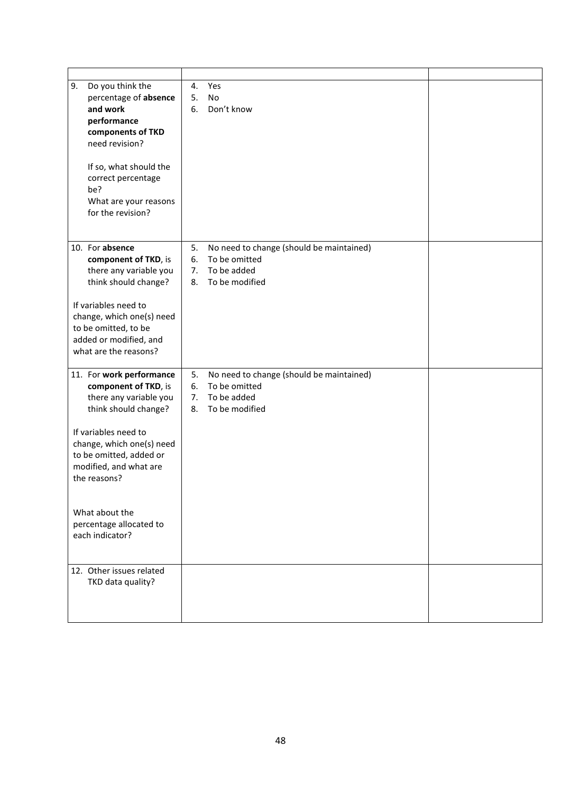| 9.<br>Do you think the                          | 4. | Yes                                      |  |
|-------------------------------------------------|----|------------------------------------------|--|
| percentage of absence                           | 5. | No                                       |  |
| and work                                        | 6. | Don't know                               |  |
| performance                                     |    |                                          |  |
| components of TKD                               |    |                                          |  |
| need revision?                                  |    |                                          |  |
|                                                 |    |                                          |  |
| If so, what should the                          |    |                                          |  |
| correct percentage                              |    |                                          |  |
| be?                                             |    |                                          |  |
| What are your reasons                           |    |                                          |  |
| for the revision?                               |    |                                          |  |
|                                                 |    |                                          |  |
|                                                 |    |                                          |  |
| 10. For absence                                 | 5. | No need to change (should be maintained) |  |
| component of TKD, is                            | 6. | To be omitted                            |  |
| there any variable you                          | 7. | To be added                              |  |
| think should change?                            | 8. | To be modified                           |  |
|                                                 |    |                                          |  |
| If variables need to                            |    |                                          |  |
| change, which one(s) need                       |    |                                          |  |
| to be omitted, to be                            |    |                                          |  |
|                                                 |    |                                          |  |
| added or modified, and<br>what are the reasons? |    |                                          |  |
|                                                 |    |                                          |  |
| 11. For work performance                        | 5. | No need to change (should be maintained) |  |
| component of TKD, is                            | 6. | To be omitted                            |  |
| there any variable you                          | 7. | To be added                              |  |
| think should change?                            | 8. | To be modified                           |  |
|                                                 |    |                                          |  |
| If variables need to                            |    |                                          |  |
| change, which one(s) need                       |    |                                          |  |
| to be omitted, added or                         |    |                                          |  |
| modified, and what are                          |    |                                          |  |
| the reasons?                                    |    |                                          |  |
|                                                 |    |                                          |  |
|                                                 |    |                                          |  |
| What about the                                  |    |                                          |  |
| percentage allocated to                         |    |                                          |  |
| each indicator?                                 |    |                                          |  |
|                                                 |    |                                          |  |
|                                                 |    |                                          |  |
| 12. Other issues related                        |    |                                          |  |
| TKD data quality?                               |    |                                          |  |
|                                                 |    |                                          |  |
|                                                 |    |                                          |  |
|                                                 |    |                                          |  |
|                                                 |    |                                          |  |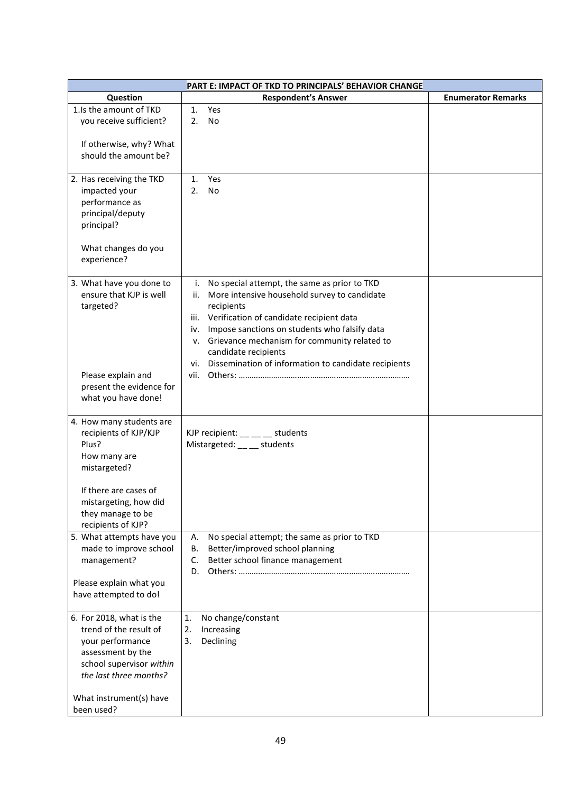| PART E: IMPACT OF TKD TO PRINCIPALS' BEHAVIOR CHANGE                                                                                                                                       |                                                                                                                                                                                                                                                                                                                                                                                       |                           |  |  |  |
|--------------------------------------------------------------------------------------------------------------------------------------------------------------------------------------------|---------------------------------------------------------------------------------------------------------------------------------------------------------------------------------------------------------------------------------------------------------------------------------------------------------------------------------------------------------------------------------------|---------------------------|--|--|--|
| Question                                                                                                                                                                                   | <b>Respondent's Answer</b>                                                                                                                                                                                                                                                                                                                                                            | <b>Enumerator Remarks</b> |  |  |  |
| 1.Is the amount of TKD<br>you receive sufficient?<br>If otherwise, why? What                                                                                                               | Yes<br>1.<br>2.<br><b>No</b>                                                                                                                                                                                                                                                                                                                                                          |                           |  |  |  |
| should the amount be?                                                                                                                                                                      |                                                                                                                                                                                                                                                                                                                                                                                       |                           |  |  |  |
| 2. Has receiving the TKD<br>impacted your<br>performance as<br>principal/deputy<br>principal?<br>What changes do you<br>experience?                                                        | Yes<br>1.<br>2.<br><b>No</b>                                                                                                                                                                                                                                                                                                                                                          |                           |  |  |  |
| 3. What have you done to<br>ensure that KJP is well<br>targeted?<br>Please explain and<br>present the evidence for<br>what you have done!                                                  | No special attempt, the same as prior to TKD<br>i.<br>More intensive household survey to candidate<br>ii.<br>recipients<br>Verification of candidate recipient data<br>iii.<br>Impose sanctions on students who falsify data<br>iv.<br>v. Grievance mechanism for community related to<br>candidate recipients<br>Dissemination of information to candidate recipients<br>vi.<br>vii. |                           |  |  |  |
| 4. How many students are<br>recipients of KJP/KJP<br>Plus?<br>How many are<br>mistargeted?<br>If there are cases of<br>mistargeting, how did<br>they manage to be<br>recipients of KJP?    | KJP recipient: __ __ __ students<br>Mistargeted: __ __ students                                                                                                                                                                                                                                                                                                                       |                           |  |  |  |
| 5. What attempts have you<br>made to improve school<br>management?<br>Please explain what you<br>have attempted to do!                                                                     | No special attempt; the same as prior to TKD<br>А.<br>Better/improved school planning<br>В.<br>Better school finance management<br>C.<br>D.                                                                                                                                                                                                                                           |                           |  |  |  |
| 6. For 2018, what is the<br>trend of the result of<br>your performance<br>assessment by the<br>school supervisor within<br>the last three months?<br>What instrument(s) have<br>been used? | 1.<br>No change/constant<br>Increasing<br>2.<br>Declining<br>3.                                                                                                                                                                                                                                                                                                                       |                           |  |  |  |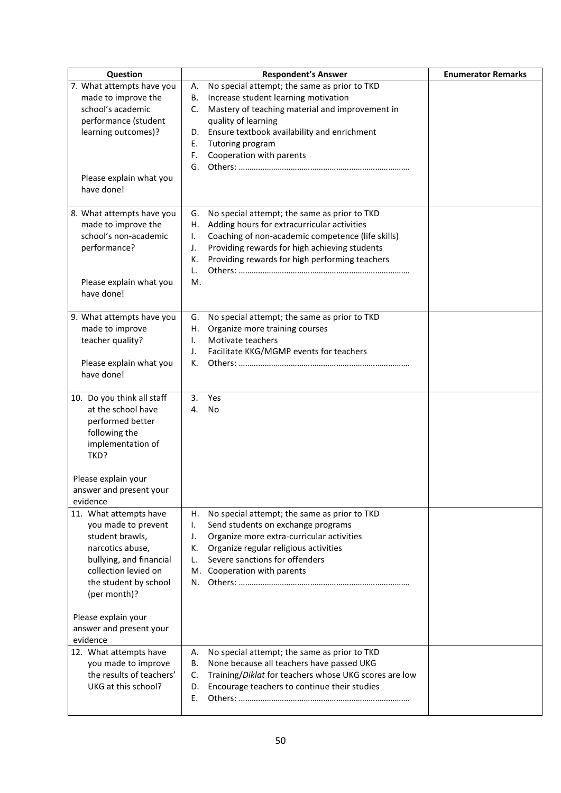| Question                   | <b>Respondent's Answer</b>                                  | <b>Enumerator Remarks</b> |
|----------------------------|-------------------------------------------------------------|---------------------------|
| 7. What attempts have you  | No special attempt; the same as prior to TKD<br>А.          |                           |
| made to improve the        | Increase student learning motivation<br>В.                  |                           |
| school's academic          | Mastery of teaching material and improvement in<br>C.       |                           |
| performance (student       | quality of learning                                         |                           |
| learning outcomes)?        | Ensure textbook availability and enrichment<br>D.           |                           |
|                            | Tutoring program<br>Е.                                      |                           |
|                            | Cooperation with parents<br>F.                              |                           |
|                            | G.                                                          |                           |
| Please explain what you    |                                                             |                           |
| have done!                 |                                                             |                           |
|                            |                                                             |                           |
| 8. What attempts have you  | No special attempt; the same as prior to TKD<br>G.          |                           |
| made to improve the        | Adding hours for extracurricular activities<br>н.           |                           |
| school's non-academic      | Coaching of non-academic competence (life skills)<br>ı.     |                           |
| performance?               | Providing rewards for high achieving students<br>J.         |                           |
|                            | Providing rewards for high performing teachers<br>K.        |                           |
|                            | L.                                                          |                           |
| Please explain what you    | M.                                                          |                           |
| have done!                 |                                                             |                           |
|                            |                                                             |                           |
| 9. What attempts have you  | G.<br>No special attempt; the same as prior to TKD          |                           |
| made to improve            | Organize more training courses<br>Н.                        |                           |
| teacher quality?           | Motivate teachers<br>I.                                     |                           |
|                            | Facilitate KKG/MGMP events for teachers<br>J.               |                           |
| Please explain what you    | К.                                                          |                           |
| have done!                 |                                                             |                           |
| 10. Do you think all staff | Yes<br>3.                                                   |                           |
| at the school have         | 4.<br>No                                                    |                           |
| performed better           |                                                             |                           |
| following the              |                                                             |                           |
| implementation of          |                                                             |                           |
| TKD?                       |                                                             |                           |
|                            |                                                             |                           |
| Please explain your        |                                                             |                           |
| answer and present your    |                                                             |                           |
| evidence                   |                                                             |                           |
| 11. What attempts have     | No special attempt; the same as prior to TKD<br>Η.          |                           |
| you made to prevent        | Send students on exchange programs<br>ı.                    |                           |
| student brawls,            | Organize more extra-curricular activities<br>J.             |                           |
| narcotics abuse,           | Organize regular religious activities<br>К.                 |                           |
| bullying, and financial    | Severe sanctions for offenders<br>L.                        |                           |
| collection levied on       | M. Cooperation with parents                                 |                           |
| the student by school      | N.                                                          |                           |
| (per month)?               |                                                             |                           |
|                            |                                                             |                           |
| Please explain your        |                                                             |                           |
| answer and present your    |                                                             |                           |
| evidence                   |                                                             |                           |
| 12. What attempts have     | No special attempt; the same as prior to TKD<br>А.          |                           |
| you made to improve        | None because all teachers have passed UKG<br>В.             |                           |
| the results of teachers'   | Training/Diklat for teachers whose UKG scores are low<br>C. |                           |
| UKG at this school?        | Encourage teachers to continue their studies<br>D.          |                           |
|                            | Е.                                                          |                           |
|                            |                                                             |                           |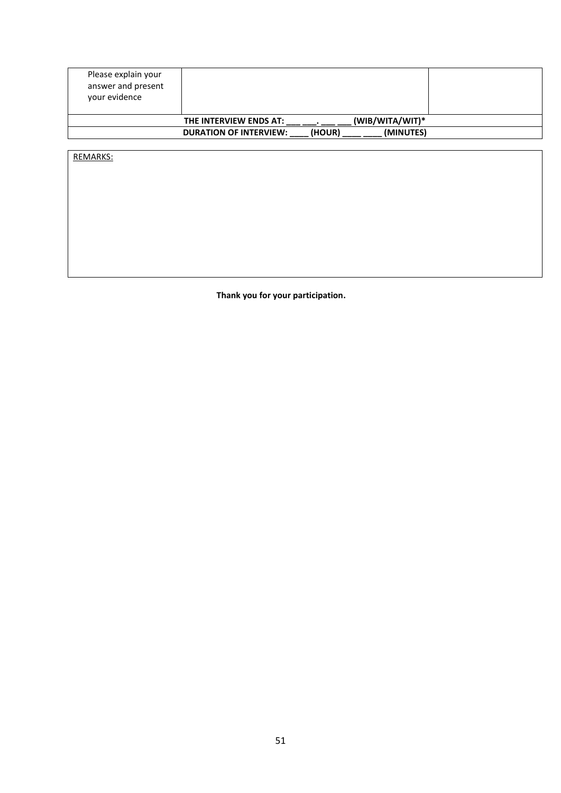| Please explain your<br>answer and present<br>your evidence |                                                      |  |
|------------------------------------------------------------|------------------------------------------------------|--|
|                                                            | (WIB/WITA/WIT)*<br>THE INTERVIEW ENDS AT:            |  |
|                                                            | (HOUR)<br>(MINUTES)<br><b>DURATION OF INTERVIEW:</b> |  |

REMARKS:

**Thank you for your participation.**